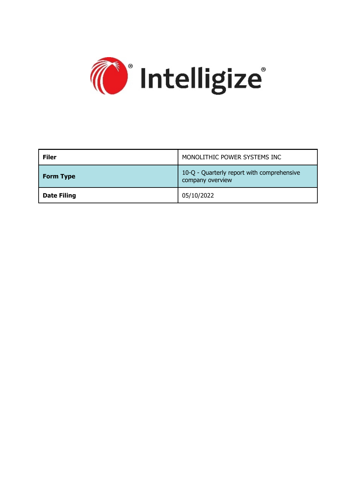

| <b>Filer</b>       | MONOLITHIC POWER SYSTEMS INC                                   |
|--------------------|----------------------------------------------------------------|
| <b>Form Type</b>   | 10-Q - Quarterly report with comprehensive<br>company overview |
| <b>Date Filing</b> | 05/10/2022                                                     |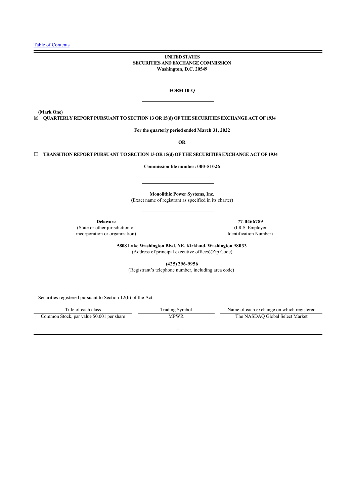### **UNITED STATES SECURITIES AND EXCHANGE COMMISSION Washington, D.C. 20549**

### **FORM 10-Q**

**(Mark One)**

☒ **QUARTERLY REPORT PURSUANT TO SECTION 13 OR 15(d) OF THE SECURITIES EXCHANGE ACT OF 1934**

**For the quarterly period ended March 31, 2022**

**OR**

☐ **TRANSITION REPORT PURSUANT TO SECTION 13 OR 15(d) OF THE SECURITIES EXCHANGE ACT OF 1934**

**Commission file number: 000-51026**

**Monolithic Power Systems, Inc.** (Exact name of registrant as specified in its charter)

**Delaware 77-0466789** (State or other jurisdiction of incorporation or organization)

(I.R.S. Employer Identification Number)

**5808 Lake Washington Blvd. NE, Kirkland, Washington 98033** (Address of principal executive offices)(Zip Code)

**(425) 296-9956**

(Registrant's telephone number, including area code)

Securities registered pursuant to Section 12(b) of the Act:

| Title of each class                       | Trading Symbol | Name of each exchange on which registered |
|-------------------------------------------|----------------|-------------------------------------------|
| Common Stock, par value \$0.001 per share | MPWR           | The NASDAO Global Select Market           |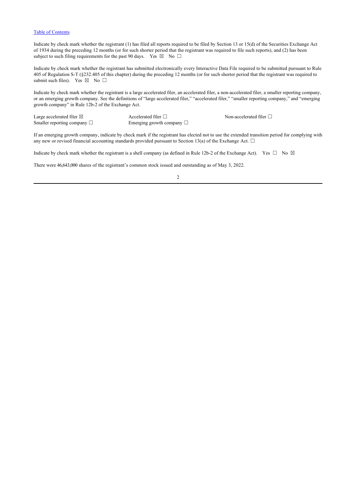Indicate by check mark whether the registrant (1) has filed all reports required to be filed by Section 13 or 15(d) of the Securities Exchange Act of 1934 during the preceding 12 months (or for such shorter period that the registrant was required to file such reports), and (2) has been subject to such filing requirements for the past 90 days. Yes  $\boxtimes$  No  $\Box$ 

Indicate by check mark whether the registrant has submitted electronically every Interactive Data File required to be submitted pursuant to Rule 405 of Regulation S-T (§232.405 of this chapter) during the preceding 12 months (or for such shorter period that the registrant was required to submit such files). Yes  $\boxtimes$  No  $\square$ 

Indicate by check mark whether the registrant is a large accelerated filer, an accelerated filer, a non-accelerated filer, a smaller reporting company, or an emerging growth company. See the definitions of "large accelerated filer," "accelerated filer," "smaller reporting company," and "emerging growth company" in Rule 12b-2 of the Exchange Act.

Large accelerated filer  $\Box$ <br>
Smaller reporting company  $\Box$ <br>
Accelerated filer  $\Box$ <br>
Emerging growth company  $\Box$ Emerging growth company  $□$ 

If an emerging growth company, indicate by check mark if the registrant has elected not to use the extended transition period for complying with any new or revised financial accounting standards provided pursuant to Section 13(a) of the Exchange Act.  $\Box$ 

Indicate by check mark whether the registrant is a shell company (as defined in Rule 12b-2 of the Exchange Act). Yes  $\Box$  No  $\boxtimes$ 

There were 46,643,000 shares of the registrant's common stock issued and outstanding as of May 3, 2022.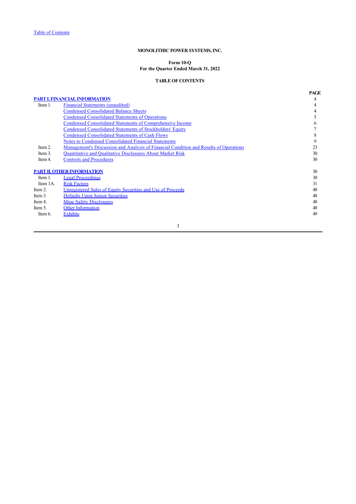# **Form 10-Q For the Quarter Ended March 31, 2022**

## <span id="page-3-0"></span>**TABLE OF CONTENTS**

|          |                                                                                       | <b>PAGE</b> |
|----------|---------------------------------------------------------------------------------------|-------------|
|          | <b>PART I. FINANCIAL INFORMATION</b>                                                  | 4           |
| Item 1.  | <b>Financial Statements (unaudited)</b>                                               |             |
|          | <b>Condensed Consolidated Balance Sheets</b>                                          |             |
|          | <b>Condensed Consolidated Statements of Operations</b>                                |             |
|          | Condensed Consolidated Statements of Comprehensive Income                             | 6           |
|          | <b>Condensed Consolidated Statements of Stockholders' Equity</b>                      |             |
|          | <b>Condensed Consolidated Statements of Cash Flows</b>                                | 8           |
|          | <b>Notes to Condensed Consolidated Financial Statements</b>                           | 9           |
| Item 2.  | Management's Discussion and Analysis of Financial Condition and Results of Operations | 23          |
| Item 3.  | <b>Quantitative and Qualitative Disclosures About Market Risk</b>                     | 30          |
| Item 4.  | <b>Controls and Procedures</b>                                                        | 30          |
|          | <b>PART II. OTHER INFORMATION</b>                                                     | 30          |
| Item 1.  | <b>Legal Proceedings</b>                                                              | 30          |
| Item 1A. | <b>Risk Factors</b>                                                                   | 31          |
| Item 2.  | Unregistered Sales of Equity Securities and Use of Proceeds                           | 48          |
| Item 3.  | <b>Defaults Upon Senior Securities</b>                                                | 48          |
| Item 4.  | Mine Safety Disclosures                                                               | 48          |
| Item 5.  | <b>Other Information</b>                                                              | 48          |
| Item 6.  | <b>Exhibits</b>                                                                       | 49          |
|          | 3                                                                                     |             |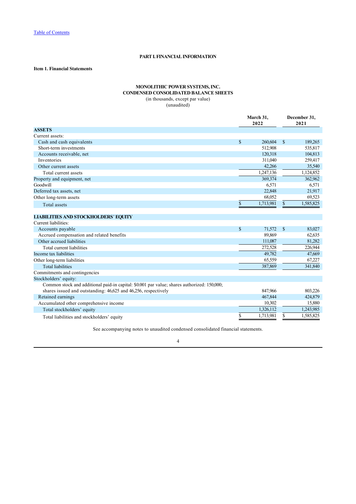# <span id="page-4-0"></span>**PART I. FINANCIAL INFORMATION**

# <span id="page-4-1"></span>**Item 1. Financial Statements**

# <span id="page-4-2"></span>**MONOLITHIC POWER SYSTEMS, INC. CONDENSED CONSOLIDATED BALANCE SHEETS**

(in thousands, except par value)

(unaudited)

|                                                                                             | March 31.<br>2022 |           |              | December 31.<br>2021 |
|---------------------------------------------------------------------------------------------|-------------------|-----------|--------------|----------------------|
| <b>ASSETS</b>                                                                               |                   |           |              |                      |
| Current assets:                                                                             |                   |           |              |                      |
| Cash and cash equivalents                                                                   | \$                | 260,604   | $\mathbb{S}$ | 189,265              |
| Short-term investments                                                                      |                   | 512,908   |              | 535,817              |
| Accounts receivable, net                                                                    |                   | 120,318   |              | 104,813              |
| Inventories                                                                                 |                   | 311,040   |              | 259,417              |
| Other current assets                                                                        |                   | 42,266    |              | 35,540               |
| Total current assets                                                                        |                   | 1,247,136 |              | 1,124,852            |
| Property and equipment, net                                                                 |                   | 369,374   |              | 362,962              |
| Goodwill                                                                                    |                   | 6,571     |              | 6,571                |
| Deferred tax assets, net                                                                    |                   | 22,848    |              | 21,917               |
| Other long-term assets                                                                      |                   | 68,052    |              | 69,523               |
| <b>Total</b> assets                                                                         | \$                | 1,713,981 | \$           | 1,585,825            |
| <b>LIABILITIES AND STOCKHOLDERS' EQUITY</b><br>Current liabilities:                         |                   |           |              |                      |
|                                                                                             | $\mathbb{S}$      | 71,572    | $\mathbb{S}$ | 83,027               |
| Accounts payable<br>Accrued compensation and related benefits                               |                   | 89,869    |              | 62,635               |
| Other accrued liabilities                                                                   |                   | 111,087   |              | 81,282               |
| Total current liabilities                                                                   |                   | 272,528   |              | 226,944              |
| Income tax liabilities                                                                      |                   | 49,782    |              | 47,669               |
| Other long-term liabilities                                                                 |                   | 65,559    |              | 67,227               |
| <b>Total liabilities</b>                                                                    |                   | 387,869   |              | 341,840              |
| Commitments and contingencies                                                               |                   |           |              |                      |
| Stockholders' equity:                                                                       |                   |           |              |                      |
| Common stock and additional paid-in capital: \$0.001 par value; shares authorized: 150,000; |                   |           |              |                      |
| shares issued and outstanding: 46,625 and 46,256, respectively                              |                   | 847,966   |              | 803,226              |
| Retained earnings                                                                           |                   | 467,844   |              | 424,879              |
| Accumulated other comprehensive income                                                      |                   | 10,302    |              | 15,880               |
| Total stockholders' equity                                                                  |                   | 1,326,112 |              | 1,243,985            |
| Total liabilities and stockholders' equity                                                  | \$                | 1,713,981 | S            | 1,585,825            |

See accompanying notes to unaudited condensed consolidated financial statements.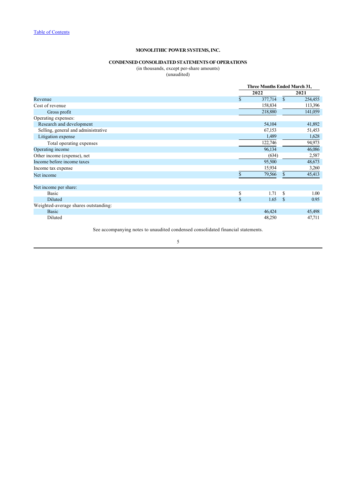#### <span id="page-5-0"></span>**CONDENSED CONSOLIDATED STATEMENTS OF OPERATIONS**

(in thousands, except per-share amounts)

(unaudited)

|                                      |               | Three Months Ended March 31, |              |         |  |
|--------------------------------------|---------------|------------------------------|--------------|---------|--|
|                                      |               | 2022                         |              | 2021    |  |
| Revenue                              | \$            | 377,714                      | $\mathbb{S}$ | 254,455 |  |
| Cost of revenue                      |               | 158,834                      |              | 113,396 |  |
| Gross profit                         |               | 218,880                      |              | 141,059 |  |
| Operating expenses:                  |               |                              |              |         |  |
| Research and development             |               | 54,104                       |              | 41,892  |  |
| Selling, general and administrative  |               | 67,153                       |              | 51,453  |  |
| Litigation expense                   |               | 1,489                        |              | 1,628   |  |
| Total operating expenses             |               | 122,746                      |              | 94,973  |  |
| Operating income                     |               | 96,134                       |              | 46,086  |  |
| Other income (expense), net          |               | (634)                        |              | 2,587   |  |
| Income before income taxes           |               | 95,500                       |              | 48,673  |  |
| Income tax expense                   |               | 15,934                       |              | 3,260   |  |
| Net income                           |               | 79,566                       | \$           | 45,413  |  |
| Net income per share:                |               |                              |              |         |  |
| Basic                                | \$            | 1.71                         | S            | 1.00    |  |
| <b>Diluted</b>                       | $\mathcal{S}$ | 1.65                         | S            | 0.95    |  |
| Weighted-average shares outstanding: |               |                              |              |         |  |
| <b>Basic</b>                         |               | 46,424                       |              | 45,498  |  |
| Diluted                              |               | 48,250                       |              | 47,711  |  |

See accompanying notes to unaudited condensed consolidated financial statements.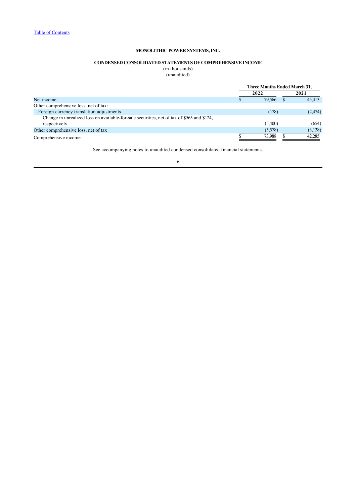# <span id="page-6-0"></span>**CONDENSED CONSOLIDATED STATEMENTS OF COMPREHENSIVE INCOME**

(in thousands) (unaudited)

|                                                                                            | <b>Three Months Ended March 31,</b> |         |  |         |
|--------------------------------------------------------------------------------------------|-------------------------------------|---------|--|---------|
|                                                                                            |                                     | 2022    |  | 2021    |
| Net income                                                                                 |                                     | 79.566  |  | 45.413  |
| Other comprehensive loss, net of tax:                                                      |                                     |         |  |         |
| Foreign currency translation adjustments                                                   |                                     | (178)   |  | (2,474) |
| Change in unrealized loss on available-for-sale securities, net of tax of \$565 and \$124, |                                     |         |  |         |
| respectively                                                                               |                                     | (5,400) |  | (654)   |
| Other comprehensive loss, net of tax                                                       |                                     | (5,578) |  | (3,128) |
| Comprehensive income                                                                       |                                     | 73.988  |  | 42.285  |

See accompanying notes to unaudited condensed consolidated financial statements.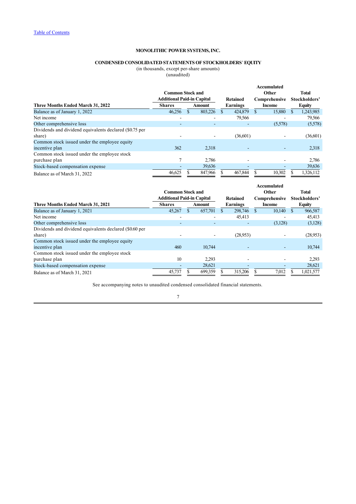# <span id="page-7-0"></span>**CONDENSED CONSOLIDATED STATEMENTS OF STOCKHOLDERS**' **EQUITY**

(in thousands, except per-share amounts)

(unaudited)

|                                                         | <b>Common Stock and</b><br><b>Additional Paid-in Capital</b> |     | Retained | Accumulated<br>Other<br>Comprehensive |  |         | <b>Total</b><br>Stockholders' |               |
|---------------------------------------------------------|--------------------------------------------------------------|-----|----------|---------------------------------------|--|---------|-------------------------------|---------------|
| Three Months Ended March 31, 2022                       | <b>Shares</b>                                                |     | Amount   | Earnings                              |  | Income  |                               | <b>Equity</b> |
| Balance as of January 1, 2022                           | 46,256                                                       | \$. | 803,226  | 424,879                               |  | 15,880  |                               | 1,243,985     |
| Net income                                              | $\overline{\phantom{0}}$                                     |     |          | 79,566                                |  |         |                               | 79,566        |
| Other comprehensive loss                                |                                                              |     |          |                                       |  | (5,578) |                               | (5,578)       |
| Dividends and dividend equivalents declared (\$0.75 per |                                                              |     |          |                                       |  |         |                               |               |
| share)                                                  |                                                              |     |          | (36,601)                              |  |         |                               | (36,601)      |
| Common stock issued under the employee equity           |                                                              |     |          |                                       |  |         |                               |               |
| incentive plan                                          | 362                                                          |     | 2,318    |                                       |  |         |                               | 2,318         |
| Common stock issued under the employee stock            |                                                              |     |          |                                       |  |         |                               |               |
| purchase plan                                           |                                                              |     | 2.786    |                                       |  |         |                               | 2,786         |
| Stock-based compensation expense                        |                                                              |     | 39,636   |                                       |  |         |                               | 39,636        |
| Balance as of March 31, 2022                            | 46,625                                                       |     | 847,966  | 467,844                               |  | 10,302  |                               | 1,326,112     |

|                                                         | <b>Common Stock and</b><br><b>Additional Paid-in Capital</b> |   | Retained | Accumulated<br>Other<br>Comprehensive | <b>Total</b><br>Stockholders' |  |               |
|---------------------------------------------------------|--------------------------------------------------------------|---|----------|---------------------------------------|-------------------------------|--|---------------|
| Three Months Ended March 31, 2021                       | <b>Shares</b>                                                |   | Amount   | Earnings                              | Income                        |  | <b>Equity</b> |
| Balance as of January 1, 2021                           | 45,267                                                       | S | 657,701  | 298,746                               | 10,140                        |  | 966,587       |
| Net income                                              |                                                              |   |          | 45.413                                |                               |  | 45,413        |
| Other comprehensive loss                                |                                                              |   |          |                                       | (3,128)                       |  | (3,128)       |
| Dividends and dividend equivalents declared (\$0.60 per |                                                              |   |          |                                       |                               |  |               |
| share)                                                  |                                                              |   |          | (28.953)                              |                               |  | (28,953)      |
| Common stock issued under the employee equity           |                                                              |   |          |                                       |                               |  |               |
| incentive plan                                          | 460                                                          |   | 10.744   |                                       |                               |  | 10.744        |
| Common stock issued under the employee stock            |                                                              |   |          |                                       |                               |  |               |
| purchase plan                                           | 10                                                           |   | 2,293    |                                       |                               |  | 2,293         |
| Stock-based compensation expense                        |                                                              |   | 28,621   |                                       |                               |  | 28,621        |
| Balance as of March 31, 2021                            | 45,737                                                       |   | 699,359  | 315,206                               | 7,012                         |  | 1,021,577     |

See accompanying notes to unaudited condensed consolidated financial statements.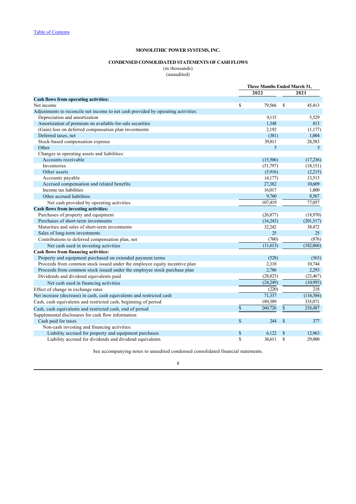#### <span id="page-8-0"></span>**CONDENSED CONSOLIDATED STATEMENTS OF CASH FLOWS**

(in thousands) (unaudited)

|                                                                                   | <b>Three Months Ended March 31,</b> |           |    |            |
|-----------------------------------------------------------------------------------|-------------------------------------|-----------|----|------------|
|                                                                                   |                                     | 2022      |    | 2021       |
| <b>Cash flows from operating activities:</b>                                      |                                     |           |    |            |
| Net income                                                                        | <sup>\$</sup>                       | 79,566    | S  | 45,413     |
| Adjustments to reconcile net income to net cash provided by operating activities: |                                     |           |    |            |
| Depreciation and amortization                                                     |                                     | 9.115     |    | 5,529      |
| Amortization of premium on available-for-sale securities                          |                                     | 1,348     |    | 813        |
| (Gain) loss on deferred compensation plan investments                             |                                     | 2,192     |    | (1,177)    |
| Deferred taxes, net                                                               |                                     | (381)     |    | 1,004      |
| Stock-based compensation expense                                                  |                                     | 39,811    |    | 28,583     |
| Other                                                                             |                                     | 5         |    | 5          |
| Changes in operating assets and liabilities:                                      |                                     |           |    |            |
| Accounts receivable                                                               |                                     | (15,506)  |    | (17,236)   |
| Inventories                                                                       |                                     | (51,797)  |    | (18, 151)  |
| Other assets                                                                      |                                     | (5,916)   |    | (2,215)    |
| Accounts payable                                                                  |                                     | (4,177)   |    | 13,513     |
| Accrued compensation and related benefits                                         |                                     | 27,382    |    | 10,609     |
| Income tax liabilities                                                            |                                     | 16,017    |    | 1,800      |
| Other accrued liabilities                                                         |                                     | 9,760     |    | 8,567      |
| Net cash provided by operating activities                                         |                                     | 107,419   |    | 77,057     |
| Cash flows from investing activities:                                             |                                     |           |    |            |
| Purchases of property and equipment                                               |                                     | (26,877)  |    | (18,970)   |
| Purchases of short-term investments                                               |                                     | (16,243)  |    | (201,517)  |
| Maturities and sales of short-term investments                                    |                                     | 32,242    |    | 38,472     |
| Sales of long-term investments                                                    |                                     | 25        |    | 25         |
| Contributions to deferred compensation plan, net                                  |                                     | (760)     |    | (876)      |
| Net cash used in investing activities                                             |                                     | (11, 613) |    | (182, 866) |
| Cash flows from financing activities:                                             |                                     |           |    |            |
| Property and equipment purchased on extended payment terms                        |                                     | (528)     |    | (563)      |
| Proceeds from common stock issued under the employee equity incentive plan        |                                     | 2,318     |    | 10,744     |
| Proceeds from common stock issued under the employee stock purchase plan          |                                     | 2,786     |    | 2,293      |
| Dividends and dividend equivalents paid                                           |                                     | (28, 825) |    | (23, 467)  |
| Net cash used in financing activities                                             |                                     | (24,249)  |    | (10,993)   |
| Effect of change in exchange rates                                                |                                     | (220)     |    | 218        |
| Net increase (decrease) in cash, cash equivalents and restricted cash             |                                     | 71,337    |    | (116, 584) |
| Cash, cash equivalents and restricted cash, beginning of period                   |                                     | 189,389   |    | 335,071    |
| Cash, cash equivalents and restricted cash, end of period                         | \$                                  | 260,726   | \$ | 218,487    |
| Supplemental disclosures for cash flow information:                               |                                     |           |    |            |
| Cash paid for taxes                                                               | <sup>\$</sup>                       | 244       | \$ | 377        |
| Non-cash investing and financing activities:                                      |                                     |           |    |            |
| Liability accrued for property and equipment purchases                            | \$                                  | 6,122     | \$ | 12,963     |
| Liability accrued for dividends and dividend equivalents                          | \$                                  | 36,611    | S  | 29,000     |

See accompanying notes to unaudited condensed consolidated financial statements.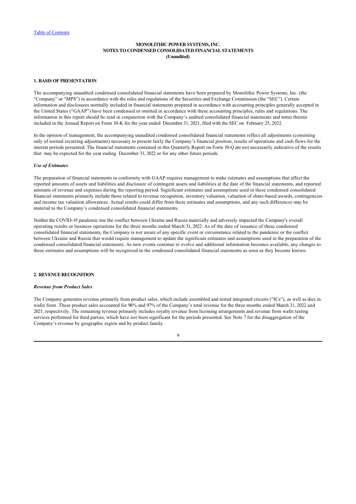## <span id="page-9-0"></span>**MONOLITHIC POWER SYSTEMS, INC. NOTES TO CONDENSED CONSOLIDATED FINANCIAL STATEMENTS (Unaudited)**

## **1. BASIS OF PRESENTATION**

The accompanying unaudited condensed consolidated financial statements have been prepared by Monolithic Power Systems, Inc. (the "Company" or "MPS") in accordance with the rules and regulations of the Securities and Exchange Commission (the "SEC"). Certain information and disclosures normally included in financial statements prepared in accordance with accounting principles generally accepted in the United States ("GAAP") have been condensed or omitted in accordance with these accounting principles, rules and regulations. The information in this report should be read in conjunction with the Company's audited consolidated financial statements and notes thereto included in the Annual Report on Form 10-K for the year ended December 31, 2021, filed with the SEC on February 25, 2022.

In the opinion of management, the accompanying unaudited condensed consolidated financial statements reflect all adjustments (consisting only of normal recurring adjustments) necessary to present fairly the Company's financial position, results of operations and cash flows for the interim periods presented. The financial statements contained in this Quarterly Report on Form 10-Q are not necessarily indicative of the results that may be expected for the year ending December 31, 2022 or for any other future periods.

#### *Use of Estimates*

The preparation of financial statements in conformity with GAAP requires management to make estimates and assumptions that affect the reported amounts of assets and liabilities and disclosure of contingent assets and liabilities at the date of the financial statements, and reported amounts of revenue and expenses during the reporting period. Significant estimates and assumptions used in these condensed consolidated financial statements primarily include those related to revenue recognition, inventory valuation, valuation of share-based awards, contingencies and income tax valuation allowances. Actual results could differ from these estimates and assumptions, and any such differences may be material to the Company's condensed consolidated financial statements.

Neither the COVID-19 pandemic nor the conflict between Ukraine and Russia materially and adversely impacted the Company's overall operating results or business operations for the three months ended March 31, 2022. As of the date of issuance of these condensed consolidated financial statements, the Company is not aware of any specific event or circumstance related to the pandemic or the conflict between Ukraine and Russia that would require management to update the significant estimates and assumptions used in the preparation of the condensed consolidated financial statements. As new events continue to evolve and additional information becomes available, any changes to these estimates and assumptions will be recognized in the condensed consolidated financial statements as soon as they become known.

# **2. REVENUE RECOGNITION**

#### *Revenue from Product Sales*

The Company generates revenue primarily from product sales, which include assembled and tested integrated circuits ("ICs"), as well as dies in wafer form. These product sales accounted for 98% and 97% of the Company's total revenue for the three months ended March 31, 2022 and 2021*,* respectively. The remaining revenue primarily includes royalty revenue from licensing arrangements and revenue from wafer testing services performed for third parties, which have not been significant for the periods presented. See Note 7 for the disaggregation of the Company's revenue by geographic region and by product family.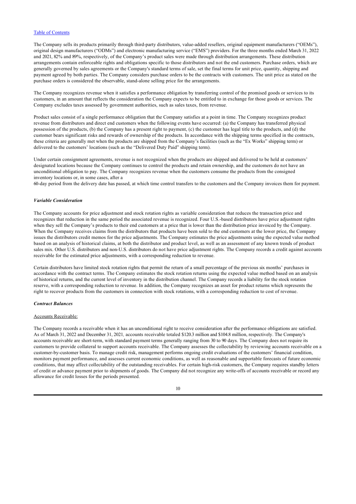The Company sells its products primarily through third-party distributors, value-added resellers, original equipment manufacturers ("OEMs"), original design manufacturers ("ODMs") and electronic manufacturing service ("EMS") providers. For the three months ended March 31, 2022 and 2021, 82% and 89%, respectively, of the Company's product sales were made through distribution arrangements. These distribution arrangements contain enforceable rights and obligations specific to those distributors and not the end customers. Purchase orders, which are generally governed by sales agreements or the Company's standard terms of sale, set the final terms for unit price, quantity, shipping and payment agreed by both parties. The Company considers purchase orders to be the contracts with customers. The unit price as stated on the purchase orders is considered the observable, stand-alone selling price for the arrangements.

The Company recognizes revenue when it satisfies a performance obligation by transferring control of the promised goods or services to its customers, in an amount that reflects the consideration the Company expects to be entitled to in exchange for those goods or services. The Company excludes taxes assessed by government authorities, such as sales taxes, from revenue.

Product sales consist of a single performance obligation that the Company satisfies at a point in time. The Company recognizes product revenue from distributors and direct end customers when the following events have occurred: (a) the Company has transferred physical possession of the products, (b) the Company has a present right to payment, (c) the customer has legal title to the products, and (d) the customer bears significant risks and rewards of ownership of the products. In accordance with the shipping terms specified in the contracts, these criteria are generally met when the products are shipped from the Company's facilities (such as the "Ex Works" shipping term) or delivered to the customers' locations (such as the "Delivered Duty Paid" shipping term).

Under certain consignment agreements, revenue is not recognized when the products are shipped and delivered to be held at customers' designated locations because the Company continues to control the products and retain ownership, and the customers do not have an unconditional obligation to pay. The Company recognizes revenue when the customers consume the products from the consigned inventory locations or, in some cases, after a

60-day period from the delivery date has passed, at which time control transfers to the customers and the Company invoices them for payment.

#### *Variable Consideration*

The Company accounts for price adjustment and stock rotation rights as variable consideration that reduces the transaction price and recognizes that reduction in the same period the associated revenue is recognized. Four U.S.-based distributors have price adjustment rights when they sell the Company's products to their end customers at a price that is lower than the distribution price invoiced by the Company. When the Company receives claims from the distributors that products have been sold to the end customers at the lower price, the Company issues the distributors credit memos for the price adjustments. The Company estimates the price adjustments using the expected value method based on an analysis of historical claims, at both the distributor and product level, as well as an assessment of any known trends of product sales mix. Other U.S. distributors and non-U.S. distributors do not have price adjustment rights. The Company records a credit against accounts receivable for the estimated price adjustments, with a corresponding reduction to revenue.

Certain distributors have limited stock rotation rights that permit the return of a small percentage of the previous six months' purchases in accordance with the contract terms. The Company estimates the stock rotation returns using the expected value method based on an analysis of historical returns, and the current level of inventory in the distribution channel. The Company records a liability for the stock rotation reserve, with a corresponding reduction to revenue. In addition, the Company recognizes an asset for product returns which represents the right to recover products from the customers in connection with stock rotations, with a corresponding reduction to cost of revenue.

### *Contract Balances*

#### Accounts Receivable:

The Company records a receivable when it has an unconditional right to receive consideration after the performance obligations are satisfied. As of March 31, 2022 and December 31, 2021*,* accounts receivable totaled \$120.3 million and \$104.8 million, respectively. The Company's accounts receivable are short-term, with standard payment terms generally ranging from 30 to 90 days. The Company does not require its customers to provide collateral to support accounts receivable. The Company assesses the collectability by reviewing accounts receivable on a customer-by-customer basis. To manage credit risk, management performs ongoing credit evaluations of the customers' financial condition, monitors payment performance, and assesses current economic conditions, as well as reasonable and supportable forecasts of future economic conditions, that may affect collectability of the outstanding receivables. For certain high-risk customers, the Company requires standby letters of credit or advance payment prior to shipments of goods. The Company did not recognize any write-offs of accounts receivable or record any allowance for credit losses for the periods presented.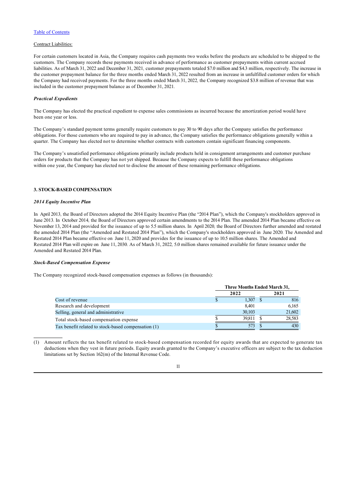## Contract Liabilities:

For certain customers located in Asia, the Company requires cash payments two weeks before the products are scheduled to be shipped to the customers. The Company records these payments received in advance of performance as customer prepayments within current accrued liabilities. As of March 31, 2022 and December 31, 2021*,* customer prepayments totaled \$7.0 million and \$4.3 million, respectively. The increase in the customer prepayment balance for the three months ended March 31, 2022 resulted from an increase in unfulfilled customer orders for which the Company had received payments. For the three months ended March 31, 2022*,* the Company recognized \$3.8 million of revenue that was included in the customer prepayment balance as of December 31, 2021*.*

### *Practical Expedients*

The Company has elected the practical expedient to expense sales commissions as incurred because the amortization period would have been one year or less.

The Company's standard payment terms generally require customers to pay 30 to 90 days after the Company satisfies the performance obligations. For those customers who are required to pay in advance, the Company satisfies the performance obligations generally within a quarter. The Company has elected not to determine whether contracts with customers contain significant financing components.

The Company's unsatisfied performance obligations primarily include products held in consignment arrangements and customer purchase orders for products that the Company has not yet shipped. Because the Company expects to fulfill these performance obligations within one year, the Company has elected not to disclose the amount of these remaining performance obligations.

### **3. STOCK-BASED COMPENSATION**

#### *2014 Equity Incentive Plan*

In April 2013*,* the Board of Directors adopted the 2014 Equity Incentive Plan (the "2014 Plan"), which the Company's stockholders approved in June 2013*.* In October 2014*,* the Board of Directors approved certain amendments to the 2014 Plan. The amended 2014 Plan became effective on November 13, 2014 and provided for the issuance of up to 5.5 million shares. In April 2020*,* the Board of Directors further amended and restated the amended 2014 Plan (the "Amended and Restated 2014 Plan"), which the Company's stockholders approved in June 2020*.* The Amended and Restated 2014 Plan became effective on June 11, 2020 and provides for the issuance of up to 10.5 million shares. The Amended and Restated 2014 Plan will expire on June 11, 2030*.* As of March 31, 2022*,* 5.0 million shares remained available for future issuance under the Amended and Restated 2014 Plan.

### *Stock-Based Compensation Expense*

The Company recognized stock-based compensation expenses as follows (in thousands):

|                                                     | Three Months Ended March 31, |  |        |  |  |
|-----------------------------------------------------|------------------------------|--|--------|--|--|
|                                                     | 2022                         |  | 2021   |  |  |
| Cost of revenue                                     | 1.307                        |  | 816    |  |  |
| Research and development                            | 8.401                        |  | 6,165  |  |  |
| Selling, general and administrative                 | 30,103                       |  | 21,602 |  |  |
| Total stock-based compensation expense              | 39.811                       |  | 28,583 |  |  |
| Tax benefit related to stock-based compensation (1) | 573                          |  | 430    |  |  |

(1) Amount reflects the tax benefit related to stock-based compensation recorded for equity awards that are expected to generate tax deductions when they vest in future periods. Equity awards granted to the Company's executive officers are subject to the tax deduction limitations set by Section 162(m) of the Internal Revenue Code.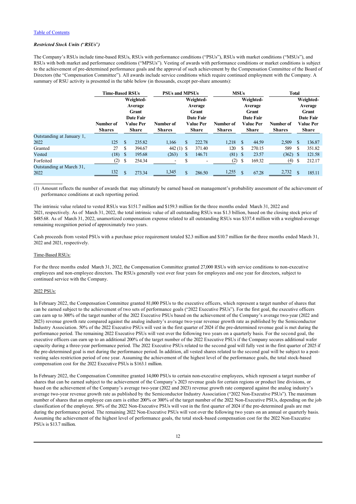## *Restricted Stock Units (*"*RSUs*"*)*

The Company's RSUs include time-based RSUs, RSUs with performance conditions ("PSUs"), RSUs with market conditions ("MSUs"), and RSUs with both market and performance conditions ("MPSUs"). Vesting of awards with performance conditions or market conditions is subject to the achievement of pre-determined performance goals and the approval of such achievement by the Compensation Committee of the Board of Directors (the "Compensation Committee"). All awards include service conditions which require continued employment with the Company. A summary of RSU activity is presented in the table below (in thousands, except per-share amounts):

|                                  | <b>Time-Based RSUs</b>     |               |                                  | <b>PSUs and MPSUs</b>      |     |                                  | <b>MSUs</b>                |                           |                  | <b>Total</b>               |               |                                  |  |
|----------------------------------|----------------------------|---------------|----------------------------------|----------------------------|-----|----------------------------------|----------------------------|---------------------------|------------------|----------------------------|---------------|----------------------------------|--|
|                                  |                            |               | Weighted-                        |                            |     | Weighted-                        |                            |                           | Weighted-        |                            |               | Weighted-                        |  |
|                                  |                            |               | Average<br>Grant                 |                            |     | Average<br>Grant                 |                            |                           | Average<br>Grant |                            |               | Average<br>Grant                 |  |
|                                  |                            |               | <b>Date Fair</b>                 |                            |     | <b>Date Fair</b>                 |                            |                           | Date Fair        |                            |               | <b>Date Fair</b>                 |  |
|                                  | Number of<br><b>Shares</b> |               | <b>Value Per</b><br><b>Share</b> | Number of<br><b>Shares</b> |     | <b>Value Per</b><br><b>Share</b> | Number of<br><b>Shares</b> | Value Per<br><b>Share</b> |                  | Number of<br><b>Shares</b> |               | <b>Value Per</b><br><b>Share</b> |  |
| Outstanding at January 1,        |                            |               |                                  |                            |     |                                  |                            |                           |                  |                            |               |                                  |  |
| 2022                             | 125                        | <b>S</b>      | 235.82                           | 1.166                      |     | 222.78                           | 1,218                      | -S                        | 44.59            | 2,509                      | -S            | 136.87                           |  |
| Granted                          | 27                         | S             | 394.67                           | 442 $(1)$ \$               |     | 371.40                           | 120                        | S                         | 270.15           | 589                        | \$.           | 351.82                           |  |
| Vested                           | (18)                       | - S           | 195.68                           | (263)                      | \$. | 146.71                           | $(81)$ \$                  |                           | 23.57            | (362)                      | - S           | 121.58                           |  |
| Forfeited                        | (2)                        | <sup>S</sup>  | 254.34                           |                            | S   |                                  | (2)                        | S                         | 169.32           | (4)                        | -S            | 212.17                           |  |
| Outstanding at March 31,<br>2022 | 132                        | <sup>\$</sup> | 273.34                           | 1,345                      | \$. | 286.50                           | 1,255                      | $\mathcal{S}$             | 67.28            | 2,732                      | $\mathcal{S}$ | 185.11                           |  |

(1) Amount reflects the number of awards that may ultimately be earned based on management's probability assessment of the achievement of performance conditions at each reporting period.

The intrinsic value related to vested RSUs was \$151.7 million and \$159.3 million for the three months ended March 31, 2022 and 2021, respectively. As of March 31, 2022, the total intrinsic value of all outstanding RSUs was \$1.3 billion, based on the closing stock price of \$485.68. As of March 31, 2022, unamortized compensation expense related to all outstanding RSUs was \$337.4 million with a weighted-average remaining recognition period of approximately two years.

Cash proceeds from vested PSUs with a purchase price requirement totaled \$2.3 million and \$10.7 million for the three months ended March 31, 2022 and 2021, respectively.

#### Time-Based RSUs:

For the three months ended March 31, 2022, the Compensation Committee granted 27,000 RSUs with service conditions to non-executive employees and non-employee directors. The RSUs generally vest over four years for employees and one year for directors, subject to continued service with the Company.

### 2022 PSUs:

In February 2022, the Compensation Committee granted 81,000 PSUs to the executive officers, which represent a target number of shares that can be earned subject to the achievement of two sets of performance goals ("2022 Executive PSUs"). For the first goal, the executive officers can earn up to 300% of the target number of the 2022 Executive PSUs based on the achievement of the Company's average two-year (2022 and 2023) revenue growth rate compared against the analog industry's average two-year revenue growth rate as published by the Semiconductor Industry Association. 50% of the 2022 Executive PSUs will vest in the first quarter of 2024 if the pre-determined revenue goal is met during the performance period. The remaining 2022 Executive PSUs will vest over the following two years on a quarterly basis. For the second goal, the executive officers can earn up to an additional 200% of the target number of the 2022 Executive PSUs if the Company secures additional wafer capacity during a three-year performance period. The 2022 Executive PSUs related to the second goal will fully vest in the first quarter of 2025 if the pre-determined goal is met during the performance period. In addition, all vested shares related to the second goal will be subject to a postvesting sales restriction period of one year. Assuming the achievement of the highest level of the performance goals, the total stock-based compensation cost for the 2022 Executive PSUs is \$163.1 million.

In February 2022, the Compensation Committee granted 14,000 PSUs to certain non-executive employees, which represent a target number of shares that can be earned subject to the achievement of the Company's 2023 revenue goals for certain regions or product line divisions, or based on the achievement of the Company's average two-year (2022 and 2023) revenue growth rate compared against the analog industry's average two-year revenue growth rate as published by the Semiconductor Industry Association ("2022 Non-Executive PSUs"). The maximum number of shares that an employee can earn is either 200% or 300% of the target number of the 2022 Non-Executive PSUs, depending on the job classification of the employee. 50% of the 2022 Non-Executive PSUs will vest in the first quarter of 2024 if the pre-determined goals are met during the performance period. The remaining 2022 Non-Executive PSUs will vest over the following two years on an annual or quarterly basis. Assuming the achievement of the highest level of performance goals, the total stock-based compensation cost for the 2022 Non-Executive PSUs is \$13.7 million.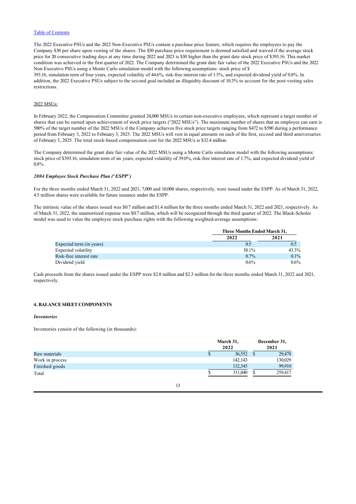The 2022 Executive PSUs and the 2022 Non-Executive PSUs contain a purchase price feature, which requires the employees to pay the Company \$30 per share upon vesting of the shares. The \$30 purchase price requirement is deemed satisfied and waived if the average stock price for 20 consecutive trading days at any time during 2022 and 2023 is \$30 higher than the grant date stock price of \$393.16. This market condition was achieved in the first quarter of 2022. The Company determined the grant date fair value of the 2022 Executive PSUs and the 2022 Non-Executive PSUs using a Monte Carlo simulation model with the following assumptions: stock price of \$ 393.16, simulation term of four years, expected volatility of 44.6%, risk-free interest rate of 1.5%, and expected dividend yield of 0.8%. In addition, the 2022 Executive PSUs subject to the second goal included an illiquidity discount of 10.3% to account for the post-vesting sales restrictions.

## 2022 MSUs:

In February 2022, the Compensation Committee granted 24,000 MSUs to certain non-executive employees, which represent a target number of shares that can be earned upon achievement of stock price targets ("2022 MSUs"). The maximum number of shares that an employee can earn is 500% of the target number of the 2022 MSUs if the Company achieves five stock price targets ranging from \$472 to \$590 during a performance period from February 3, 2022 to February 3, 2025. The 2022 MSUs will vest in equal amounts on each of the first, second and third anniversaries of February 3, 2025. The total stock-based compensation cost for the 2022 MSUs is \$32.4 million.

The Company determined the grant date fair value of the 2022 MSUs using a Monte Carlo simulation model with the following assumptions: stock price of \$393.16, simulation term of six years, expected volatility of 39.0%, risk-free interest rate of 1.7%, and expected dividend yield of 0.8%.

## *2004 Employee Stock Purchase Plan (*"*ESPP*"*)*

For the three months ended March 31, 2022 and 2021, 7,000 and 10,000 shares, respectively, were issued under the ESPP. As of March 31, 2022, 4.5 million shares were available for future issuance under the ESPP.

The intrinsic value of the shares issued was \$0.7 million and \$1.4 million for the three months ended March 31, 2022 and 2021, respectively. As of March 31, 2022, the unamortized expense was \$0.7 million, which will be recognized through the third quarter of 2022. The Black-Scholes model was used to value the employee stock purchase rights with the following weighted-average assumptions:

|                          | <b>Three Months Ended March 31.</b> |         |
|--------------------------|-------------------------------------|---------|
|                          | 2022                                | 2021    |
| Expected term (in years) | 0.5                                 | 0.5     |
| Expected volatility      | 38.1%                               | 43.3%   |
| Risk-free interest rate  | $0.7\%$                             | 0.1%    |
| Dividend yield           | $0.6\%$                             | $0.6\%$ |

Cash proceeds from the shares issued under the ESPP were \$2.8 million and \$2.3 million for the three months ended March 31, 2022 and 2021, respectively.

## **4. BALANCE SHEET COMPONENTS**

#### *Inventories*

Inventories consist of the following (in thousands):

|                 |   | March 31,<br>2022 | December 31,<br>2021 |
|-----------------|---|-------------------|----------------------|
| Raw materials   | Ф | 36,552            | 29,478               |
| Work in process |   | 142,143           | 130,029              |
| Finished goods  |   | 132,345           | 99.910               |
| Total           |   | 311,040           | 259,417              |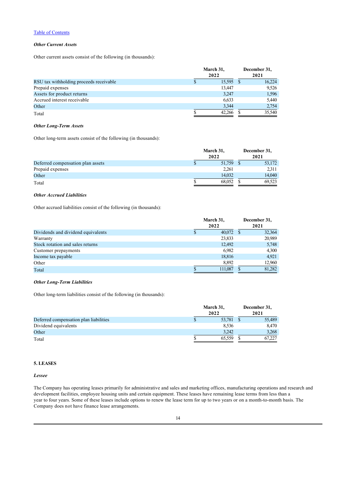## *Other Current Assets*

Other current assets consist of the following (in thousands):

|                                         | March 31,<br>2022 |           | December 31,<br>2021 |        |
|-----------------------------------------|-------------------|-----------|----------------------|--------|
| RSU tax withholding proceeds receivable |                   | 15,595 \$ |                      | 16,224 |
| Prepaid expenses                        |                   | 13.447    |                      | 9,526  |
| Assets for product returns              |                   | 3,247     |                      | 1,596  |
| Accrued interest receivable             |                   | 6,633     |                      | 5.440  |
| Other                                   |                   | 3.344     |                      | 2,754  |
| Total                                   |                   | 42.266    |                      | 35,540 |

#### *Other Long-Term Assets*

Other long-term assets consist of the following (in thousands):

|                                   | March 31,<br>2022 | December 31,<br>2021 |
|-----------------------------------|-------------------|----------------------|
| Deferred compensation plan assets | 51,759            | 53,172               |
| Prepaid expenses                  | 2.261             | 2,311                |
| Other                             | 14,032            | 14,040               |
| Total                             | 68,052            | 69.523               |

## *Other Accrued Liabilities*

Other accrued liabilities consist of the following (in thousands):

|                                    | March 31,<br>2022 |             | December 31,<br>2021 |        |  |
|------------------------------------|-------------------|-------------|----------------------|--------|--|
| Dividends and dividend equivalents |                   | $40,072$ \$ |                      | 32,364 |  |
| Warranty                           |                   | 23,833      |                      | 20,989 |  |
| Stock rotation and sales returns   |                   | 12.492      |                      | 5,748  |  |
| Customer prepayments               |                   | 6.982       |                      | 4,300  |  |
| Income tax payable                 |                   | 18,816      |                      | 4.921  |  |
| Other                              |                   | 8,892       |                      | 12,960 |  |
| Total                              |                   | 111,087     |                      | 81,282 |  |

## *Other Long-Term Liabilities*

Other long-term liabilities consist of the following (in thousands):

|                                        | March 31,<br>2022 |           | December 31,<br>2021 |        |
|----------------------------------------|-------------------|-----------|----------------------|--------|
| Deferred compensation plan liabilities |                   | 53,781 \$ |                      | 55,489 |
| Dividend equivalents                   |                   | 8.536     |                      | 8,470  |
| Other                                  |                   | 3.242     |                      | 3,268  |
| Total                                  |                   | 65.559    |                      | 67.227 |

# **5. LEASES**

#### *Lessee*

The Company has operating leases primarily for administrative and sales and marketing offices, manufacturing operations and research and development facilities, employee housing units and certain equipment. These leases have remaining lease terms from less than a year to four years. Some of these leases include options to renew the lease term for up to two years or on a month-to-month basis. The Company does not have finance lease arrangements.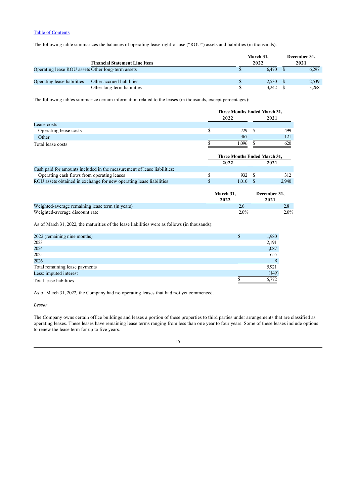The following table summarizes the balances of operating lease right-of-use ("ROU") assets and liabilities (in thousands):

|                                                   |                                      | March 31, | December 31, |
|---------------------------------------------------|--------------------------------------|-----------|--------------|
|                                                   | <b>Financial Statement Line Item</b> | 2022      | 2021         |
| Operating lease ROU assets Other long-term assets |                                      | 6.470     | 6.297        |
|                                                   |                                      |           |              |
| Operating lease liabilities                       | Other accrued liabilities            | 2.530     | 2.539        |
|                                                   | Other long-term liabilities          | 3,242     | 3.268        |

The following tables summarize certain information related to the leases (in thousands, except percentages):

|                       |   | Three Months Ended March 31, |           |  |
|-----------------------|---|------------------------------|-----------|--|
|                       |   | 2022                         |           |  |
| Lease costs:          |   |                              |           |  |
| Operating lease costs | S | 729                          | 499<br>-S |  |
| Other                 |   | 367                          | 121       |  |
| Total lease costs     |   | 1.096                        | 620       |  |
|                       |   | Three Months Ended March 31, |           |  |
|                       |   | 2022                         | 2021      |  |

| Cash paid for amounts included in the measurement of lease liabilities: |        |       |
|-------------------------------------------------------------------------|--------|-------|
| Operating cash flows from operating leases                              | 932 S  |       |
| ROU assets obtained in exchange for new operating lease liabilities     | 1.010S | 2.940 |
|                                                                         |        |       |

|                                                  | <b>March 31.</b> | December 31, |
|--------------------------------------------------|------------------|--------------|
|                                                  | 2022             | 2021         |
| Weighted-average remaining lease term (in years) |                  |              |
| Weighted-average discount rate                   | $2.0\%$          | $2.0\%$      |

As of March 31, 2022, the maturities of the lease liabilities were as follows (in thousands):

| 2022 (remaining nine months)   | ۰D | 1,980 |
|--------------------------------|----|-------|
| 2023                           |    | 2,191 |
| 2024                           |    | 1,087 |
| 2025                           |    | 655   |
| 2026                           |    | 8     |
| Total remaining lease payments |    | 5,921 |
| Less: imputed interest         |    | (149) |
| Total lease liabilities        |    | 5.772 |

As of March 31, 2022*,* the Company had no operating leases that had not yet commenced.

### *Lessor*

The Company owns certain office buildings and leases a portion of these properties to third parties under arrangements that are classified as operating leases. These leases have remaining lease terms ranging from less than one year to four years. Some of these leases include options to renew the lease term for up to five years.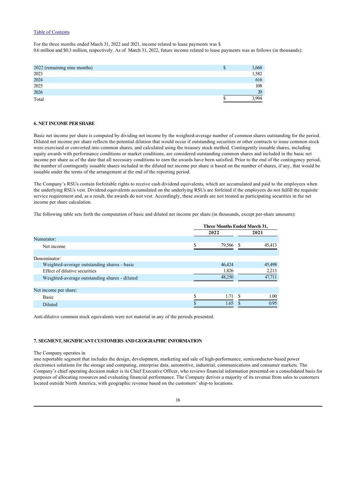For the three months ended March 31, 2022 and 2021, income related to lease payments was \$ 0.6 million and \$0.3 million, respectively. As of March 31, 2022, future income related to lease payments was as follows (in thousands):

| 2022 (remaining nine months) | 1,668 |
|------------------------------|-------|
| 2023                         | 1,582 |
| 2024                         | 616   |
| 2025                         | 108   |
| 2026                         | 20    |
| Total                        | 994   |

## **6. NET INCOME PER SHARE**

Basic net income per share is computed by dividing net income by the weighted-average number of common shares outstanding for the period. Diluted net income per share reflects the potential dilution that would occur if outstanding securities or other contracts to issue common stock were exercised or converted into common shares, and calculated using the treasury stock method. Contingently issuable shares, including equity awards with performance conditions or market conditions, are considered outstanding common shares and included in the basic net income per share as of the date that all necessary conditions to earn the awards have been satisfied. Prior to the end of the contingency period, the number of contingently issuable shares included in the diluted net income per share is based on the number of shares, if any, that would be issuable under the terms of the arrangement at the end of the reporting period.

The Company's RSUs contain forfeitable rights to receive cash dividend equivalents, which are accumulated and paid to the employees when the underlying RSUs vest. Dividend equivalents accumulated on the underlying RSUs are forfeited if the employees do not fulfill the requisite service requirement and, as a result, the awards do not vest. Accordingly, these awards are not treated as participating securities in the net income per share calculation.

The following table sets forth the computation of basic and diluted net income per share (in thousands, except per-share amounts):

| 2021   |
|--------|
|        |
|        |
| 45.413 |
|        |
|        |
| 45,498 |
| 2,213  |
| 47.711 |
|        |
|        |
| 1.00   |
| 0.95   |
|        |

Anti-dilutive common stock equivalents were not material in any of the periods presented.

## **7. SEGMENT, SIGNIFICANT CUSTOMERS AND GEOGRAPHIC INFORMATION**

#### The Company operates in

one reportable segment that includes the design, development, marketing and sale of high-performance, semiconductor-based power electronics solutions for the storage and computing, enterprise data, automotive, industrial, communications and consumer markets. The Company's chief operating decision maker is its Chief Executive Officer, who reviews financial information presented on a consolidated basis for purposes of allocating resources and evaluating financial performance. The Company derives a majority of its revenue from sales to customers located outside North America, with geographic revenue based on the customers' ship-to locations.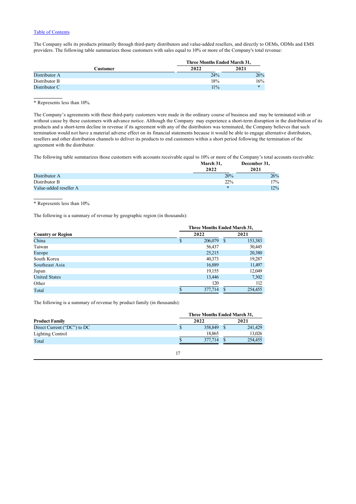The Company sells its products primarily through third-party distributors and value-added resellers, and directly to OEMs, ODMs and EMS providers. The following table summarizes those customers with sales equal to 10% or more of the Company's total revenue:

|               | Three Months Ended March 31, |      |
|---------------|------------------------------|------|
| Customer      | 2022                         | 2021 |
| Distributor A | 24%                          | 26%  |
| Distributor B | 18%                          | 16%  |
| Distributor C | $11\%$                       | $*$  |

\* Represents less than 10%.

The Company's agreements with these third-party customers were made in the ordinary course of business and may be terminated with or without cause by these customers with advance notice. Although the Company may experience a short-term disruption in the distribution of its products and a short-term decline in revenue if its agreement with any of the distributors was terminated, the Company believes that such termination would not have a material adverse effect on its financial statements because it would be able to engage alternative distributors, resellers and other distribution channels to deliver its products to end customers within a short period following the termination of the agreement with the distributor.

The following table summarizes those customers with accounts receivable equal to 10% or more of the Company's total accounts receivable:

|                        | March 31. | December 31, |
|------------------------|-----------|--------------|
|                        | 2022      | 2021         |
| Distributor A          | 20%       | 26%          |
| Distributor B          | 22%       | 17%          |
| Value-added reseller A | $*$       | 12%          |

\* Represents less than 10%.

The following is a summary of revenue by geographic region (in thousands):

|                          | Three Months Ended March 31, |         |     |         |  |  |  |  |  |
|--------------------------|------------------------------|---------|-----|---------|--|--|--|--|--|
| <b>Country or Region</b> |                              | 2022    |     | 2021    |  |  |  |  |  |
| China                    | \$                           | 206,079 | -S  | 153,383 |  |  |  |  |  |
| Taiwan                   |                              | 56,437  |     | 30,445  |  |  |  |  |  |
| Europe                   |                              | 25,215  |     | 20,380  |  |  |  |  |  |
| South Korea              |                              | 40,373  |     | 19,287  |  |  |  |  |  |
| Southeast Asia           |                              | 16,889  |     | 11,497  |  |  |  |  |  |
| Japan                    |                              | 19,155  |     | 12,049  |  |  |  |  |  |
| <b>United States</b>     |                              | 13,446  |     | 7,302   |  |  |  |  |  |
| Other                    |                              | 120     |     | 112     |  |  |  |  |  |
| Total                    |                              | 377,714 | \$. | 254,455 |  |  |  |  |  |

The following is a summary of revenue by product family (in thousands):

|                             | Three Months Ended March 31, |         |  |  |  |  |  |  |
|-----------------------------|------------------------------|---------|--|--|--|--|--|--|
| <b>Product Family</b>       | 2022                         | 2021    |  |  |  |  |  |  |
| Direct Current ("DC") to DC | 358,849                      | 241,429 |  |  |  |  |  |  |
| <b>Lighting Control</b>     | 18.865                       | 13,026  |  |  |  |  |  |  |
| Total                       | 377,714                      | 254,455 |  |  |  |  |  |  |
|                             |                              |         |  |  |  |  |  |  |
|                             |                              |         |  |  |  |  |  |  |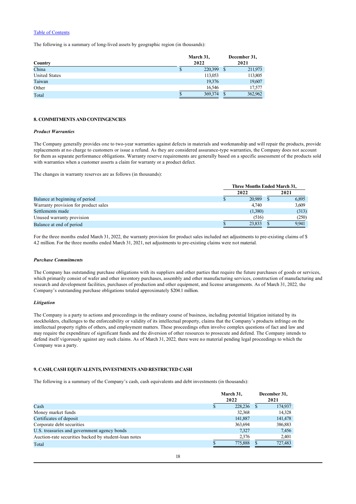The following is a summary of long-lived assets by geographic region (in thousands):

| Country       |   | March 31,<br>2022 |      | December 31,<br>2021 |
|---------------|---|-------------------|------|----------------------|
| China         | Ф | 220,399           | - \$ | 211,973              |
| United States |   | 113,053           |      | 113,805              |
| Taiwan        |   | 19,376            |      | 19,607               |
| Other         |   | 16,546            |      | 17,577               |
| Total         |   | 369,374           |      | 362,962              |

### **8. COMMITMENTS AND CONTINGENCIES**

#### *Product Warranties*

The Company generally provides one to two-year warranties against defects in materials and workmanship and will repair the products, provide replacements at no charge to customers or issue a refund. As they are considered assurance-type warranties, the Company does not account for them as separate performance obligations. Warranty reserve requirements are generally based on a specific assessment of the products sold with warranties when a customer asserts a claim for warranty or a product defect.

The changes in warranty reserves are as follows (in thousands):

|                                      | Three Months Ended March 31, |  |       |  |  |  |
|--------------------------------------|------------------------------|--|-------|--|--|--|
|                                      | 2022                         |  | 2021  |  |  |  |
| Balance at beginning of period       | 20,989                       |  | 6,895 |  |  |  |
| Warranty provision for product sales | 4.740                        |  | 3.609 |  |  |  |
| Settlements made                     | (1,380)                      |  | (313) |  |  |  |
| Unused warranty provision            | (516)                        |  | (250) |  |  |  |
| Balance at end of period             | 23,833                       |  | 9.941 |  |  |  |

For the three months ended March 31, 2022, the warranty provision for product sales included net adjustments to pre-existing claims of \$ 4.2 million. For the three months ended March 31, 2021, net adjustments to pre-existing claims were not material.

#### *Purchase Commitments*

The Company has outstanding purchase obligations with its suppliers and other parties that require the future purchases of goods or services, which primarily consist of wafer and other inventory purchases, assembly and other manufacturing services, construction of manufacturing and research and development facilities, purchases of production and other equipment, and license arrangements. As of March 31, 2022*,* the Company's outstanding purchase obligations totaled approximately \$204.1 million.

### *Litigation*

The Company is a party to actions and proceedings in the ordinary course of business, including potential litigation initiated by its stockholders, challenges to the enforceability or validity of its intellectual property, claims that the Company's products infringe on the intellectual property rights of others, and employment matters. These proceedings often involve complex questions of fact and law and may require the expenditure of significant funds and the diversion of other resources to prosecute and defend. The Company intends to defend itself vigorously against any such claims. As of March 31, 2022*,* there were no material pending legal proceedings to which the Company was a party.

## **9. CASH, CASH EQUIVALENTS, INVESTMENTS AND RESTRICTED CASH**

The following is a summary of the Company's cash, cash equivalents and debt investments (in thousands):

|                                                      | March 31,<br>2022 | December 31,<br>2021 |
|------------------------------------------------------|-------------------|----------------------|
| Cash                                                 | 228,236           | 174,937              |
| Money market funds                                   | 32,368            | 14,328               |
| Certificates of deposit                              | 141,887           | 141,478              |
| Corporate debt securities                            | 363,694           | 386,883              |
| U.S. treasuries and government agency bonds          | 7.327             | 7,456                |
| Auction-rate securities backed by student-loan notes | 2,376             | 2,401                |
| Total                                                | 775,888           | 727,483              |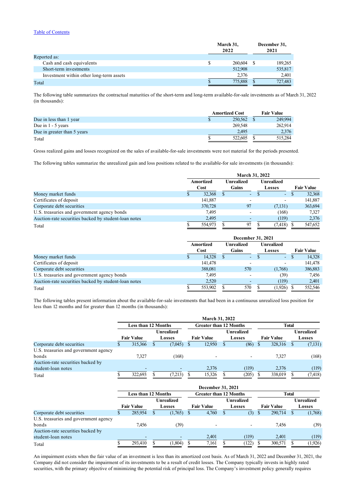|                                          | March 31,<br>2022 | December 31,<br>2021 |
|------------------------------------------|-------------------|----------------------|
| Reported as:                             |                   |                      |
| Cash and cash equivalents                | 260,604           | 189,265              |
| Short-term investments                   | 512,908           | 535,817              |
| Investment within other long-term assets | 2.376             | 2.401                |
| Total                                    | 775,888           | 727,483              |

The following table summarizes the contractual maturities of the short-term and long-term available-for-sale investments as of March 31, 2022 (in thousands):

|                             | <b>Amortized Cost</b> |         | <b>Fair Value</b> |
|-----------------------------|-----------------------|---------|-------------------|
| Due in less than 1 year     |                       | 250,562 | 249.994           |
| Due in $1 - 5$ years        |                       | 269,548 | 262,914           |
| Due in greater than 5 years |                       | 2.495   | 2,376             |
| Total                       |                       | 522,605 | 515.284           |

Gross realized gains and losses recognized on the sales of available-for-sale investments were not material for the periods presented.

The following tables summarize the unrealized gain and loss positions related to the available-for sale investments (in thousands):

|                                                      | <b>March 31, 2022</b> |                   |  |                          |  |                          |               |         |                   |  |  |                   |  |  |
|------------------------------------------------------|-----------------------|-------------------|--|--------------------------|--|--------------------------|---------------|---------|-------------------|--|--|-------------------|--|--|
|                                                      |                       | Amortized<br>Cost |  | <b>Unrealized</b>        |  |                          |               |         |                   |  |  | <b>Unrealized</b> |  |  |
|                                                      |                       |                   |  | Gains                    |  |                          | Losses        |         | <b>Fair Value</b> |  |  |                   |  |  |
| Money market funds                                   |                       | 32,368            |  | $\equiv$                 |  | $\blacksquare$           | <sup>\$</sup> | 32,368  |                   |  |  |                   |  |  |
| Certificates of deposit                              |                       | 141,887           |  | $\overline{\phantom{a}}$ |  | $\overline{\phantom{0}}$ |               | 141,887 |                   |  |  |                   |  |  |
| Corporate debt securities                            |                       | 370,728           |  | 97                       |  | (7,131)                  |               | 363,694 |                   |  |  |                   |  |  |
| U.S. treasuries and government agency bonds          |                       | 7.495             |  | $\overline{\phantom{a}}$ |  | (168)                    |               | 7.327   |                   |  |  |                   |  |  |
| Auction-rate securities backed by student-loan notes |                       | 2,495             |  | $\overline{\phantom{a}}$ |  | (119)                    |               | 2,376   |                   |  |  |                   |  |  |
| Total                                                |                       | 554,973           |  | 97                       |  | (7, 418)                 |               | 547,652 |                   |  |  |                   |  |  |

|                                                      | December 31, 2021 |                   |   |                            |  |                      |  |                   |  |  |  |  |
|------------------------------------------------------|-------------------|-------------------|---|----------------------------|--|----------------------|--|-------------------|--|--|--|--|
|                                                      |                   | Amortized<br>Cost |   | <b>Unrealized</b><br>Gains |  | Unrealized<br>Losses |  | <b>Fair Value</b> |  |  |  |  |
| Money market funds                                   |                   | 14.328            | S | $\sim$                     |  | $\sim$               |  | 14.328            |  |  |  |  |
| Certificates of deposit                              |                   | 141,478           |   | $\overline{\phantom{0}}$   |  |                      |  | 141,478           |  |  |  |  |
| Corporate debt securities                            |                   | 388,081           |   | 570                        |  | (1,768)              |  | 386,883           |  |  |  |  |
| U.S. treasuries and government agency bonds          |                   | 7.495             |   | $\overline{\phantom{0}}$   |  | (39)                 |  | 7,456             |  |  |  |  |
| Auction-rate securities backed by student-loan notes |                   | 2,520             |   | ۰                          |  | (119)                |  | 2,401             |  |  |  |  |
| Total                                                |                   | 553,902           |   | 570                        |  | (1,926)              |  | 552,546           |  |  |  |  |

The following tables present information about the available-for-sale investments that had been in a continuous unrealized loss position for less than 12 months and for greater than 12 months (in thousands):

|                                       | March 31, 2022 |                            |  |                   |  |                               |   |               |  |                   |  |            |
|---------------------------------------|----------------|----------------------------|--|-------------------|--|-------------------------------|---|---------------|--|-------------------|--|------------|
|                                       |                | <b>Less than 12 Months</b> |  |                   |  | <b>Greater than 12 Months</b> |   |               |  | <b>Total</b>      |  |            |
|                                       |                |                            |  | <b>Unrealized</b> |  |                               |   | Unrealized    |  |                   |  | Unrealized |
|                                       |                | <b>Fair Value</b>          |  | <b>Losses</b>     |  | <b>Fair Value</b>             |   | <b>Losses</b> |  | <b>Fair Value</b> |  | Losses     |
| Corporate debt securities             |                | 315,366                    |  | (7,045)           |  | 12,950                        | Ж | (86)          |  | 328,316           |  | (7, 131)   |
| U.S. treasuries and government agency |                |                            |  |                   |  |                               |   |               |  |                   |  |            |
| bonds                                 |                | 7.327                      |  | (168)             |  |                               |   |               |  | 7.327             |  | (168)      |
| Auction-rate securities backed by     |                |                            |  |                   |  |                               |   |               |  |                   |  |            |
| student-loan notes                    |                |                            |  |                   |  | 2,376                         |   | (119)         |  | 2.376             |  | (119)      |
| Total                                 |                | 322,693                    |  | (7,213)           |  | 15,326                        |   | (205)         |  | 338,019           |  | (7, 418)   |

|                                       |                     |                   |            |         |               | December 31, 2021             |   |                          |              |                   |  |         |
|---------------------------------------|---------------------|-------------------|------------|---------|---------------|-------------------------------|---|--------------------------|--------------|-------------------|--|---------|
|                                       | Less than 12 Months |                   |            |         |               | <b>Greater than 12 Months</b> |   |                          |              | <b>Total</b>      |  |         |
|                                       |                     |                   | Unrealized |         | Unrealized    |                               |   |                          |              | Unrealized        |  |         |
|                                       |                     | <b>Fair Value</b> |            | Losses  |               | <b>Fair Value</b>             |   | Losses                   |              | <b>Fair Value</b> |  | Losses  |
| Corporate debt securities             |                     | 285,954           |            | (1,765) | <sup>\$</sup> | 4,760                         | S | (3)                      | <sup>S</sup> | 290,714           |  | (1,768) |
| U.S. treasuries and government agency |                     |                   |            |         |               |                               |   |                          |              |                   |  |         |
| bonds                                 |                     | 7.456             |            | (39)    |               | ۰                             |   | $\overline{\phantom{a}}$ |              | 7.456             |  | (39)    |
| Auction-rate securities backed by     |                     |                   |            |         |               |                               |   |                          |              |                   |  |         |
| student-loan notes                    |                     |                   |            |         |               | 2,401                         |   | (119)                    |              | 2.401             |  | (119)   |
| Total                                 |                     | 293,410           |            | (1,804) |               | 7,161                         |   | 122)                     |              | 300,571           |  | (1,926) |

An impairment exists when the fair value of an investment is less than its amortized cost basis. As of March 31, 2022 and December 31, 2021, the Company did not consider the impairment of its investments to be a result of credit losses. The Company typically invests in highly rated securities, with the primary objective of minimizing the potential risk of principal loss. The Company's investment policy generally requires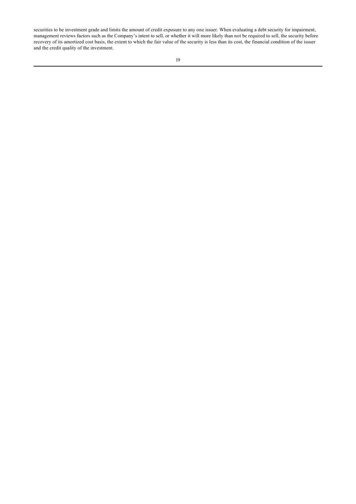securities to be investment grade and limits the amount of credit exposure to any one issuer. When evaluating a debt security for impairment, management reviews factors such as the Company's intent to sell, or whether it will more likely than not be required to sell, the security before recovery of its amortized cost basis, the extent to which the fair value of the security is less than its cost, the financial condition of the issuer and the credit quality of the investment.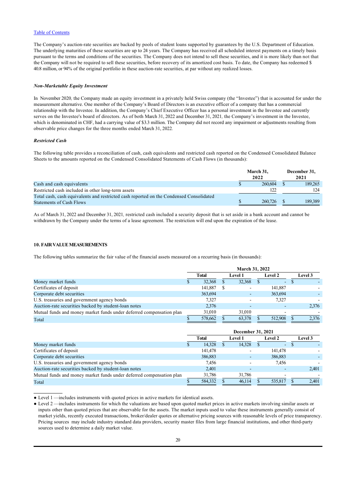The Company's auction-rate securities are backed by pools of student loans supported by guarantees by the U.S. Department of Education. The underlying maturities of these securities are up to 24 years. The Company has received all scheduled interest payments on a timely basis pursuant to the terms and conditions of the securities. The Company does not intend to sell these securities, and it is more likely than not that the Company will not be required to sell these securities, before recovery of its amortized cost basis. To date, the Company has redeemed \$ 40.8 million, or 94% of the original portfolio in these auction-rate securities, at par without any realized losses.

#### *Non-Marketable Equity Investment*

In November 2020*,* the Company made an equity investment in a privately held Swiss company (the "Investee") that is accounted for under the measurement alternative. One member of the Company's Board of Directors is an executive officer of a company that has a commercial relationship with the Investee. In addition, the Company's Chief Executive Officer has a personal investment in the Investee and currently serves on the Investee's board of directors. As of both March 31, 2022 and December 31, 2021*,* the Company's investment in the Investee, which is denominated in CHF, had a carrying value of \$3.3 million. The Company did not record any impairment or adjustments resulting from observable price changes for the three months ended March 31, 2022*.*

#### *Restricted Cash*

The following table provides a reconciliation of cash, cash equivalents and restricted cash reported on the Condensed Consolidated Balance Sheets to the amounts reported on the Condensed Consolidated Statements of Cash Flows (in thousands):

|                                                                                         | March 31,<br>2022 | December 31,<br>2021 |
|-----------------------------------------------------------------------------------------|-------------------|----------------------|
| Cash and cash equivalents                                                               | 260.604           | 189.265              |
| Restricted cash included in other long-term assets                                      | 122               | 124                  |
| Total cash, cash equivalents and restricted cash reported on the Condensed Consolidated |                   |                      |
| <b>Statements of Cash Flows</b>                                                         | 260,726           | 189.389              |

As of March 31, 2022 and December 31, 2021*,* restricted cash included a security deposit that is set aside in a bank account and cannot be withdrawn by the Company under the terms of a lease agreement. The restriction will end upon the expiration of the lease.

## **10. FAIR VALUE MEASUREMENTS**

The following tables summarize the fair value of the financial assets measured on a recurring basis (in thousands):

|                                                                      | <b>March 31, 2022</b> |         |  |                |  |                |  |         |
|----------------------------------------------------------------------|-----------------------|---------|--|----------------|--|----------------|--|---------|
|                                                                      |                       | Total   |  | <b>Level 1</b> |  | <b>Level 2</b> |  | Level 3 |
| Money market funds                                                   |                       | 32,368  |  | 32,368         |  | ٠              |  |         |
| Certificates of deposit                                              |                       | 141,887 |  |                |  | 141,887        |  |         |
| Corporate debt securities                                            |                       | 363,694 |  |                |  | 363,694        |  |         |
| U.S. treasuries and government agency bonds                          |                       | 7.327   |  |                |  | 7.327          |  |         |
| Auction-rate securities backed by student-loan notes                 |                       | 2,376   |  |                |  |                |  | 2,376   |
| Mutual funds and money market funds under deferred compensation plan |                       | 31,010  |  | 31,010         |  |                |  |         |
| Total                                                                |                       | 578,662 |  | 63,378         |  | 512,908        |  | 2,376   |

|                                                                      | December 31, 2021 |         |                |        |                |         |         |       |
|----------------------------------------------------------------------|-------------------|---------|----------------|--------|----------------|---------|---------|-------|
|                                                                      | Total             |         | <b>Level 1</b> |        | <b>Level 2</b> |         | Level 3 |       |
| Money market funds                                                   |                   | 14.328  |                | 14.328 |                | ٠       |         |       |
| Certificates of deposit                                              |                   | 141,478 |                |        |                | 141,478 |         |       |
| Corporate debt securities                                            |                   | 386,883 |                |        |                | 386,883 |         |       |
| U.S. treasuries and government agency bonds                          |                   | 7.456   |                |        |                | 7.456   |         |       |
| Auction-rate securities backed by student-loan notes                 |                   | 2.401   |                |        |                |         |         | 2,401 |
| Mutual funds and money market funds under deferred compensation plan |                   | 31,786  |                | 31,786 |                |         |         |       |
| Total                                                                |                   | 584,332 |                | 46,114 |                | 535,817 |         | 2,401 |

<sup>●</sup> Level 1 —includes instruments with quoted prices in active markets for identical assets.

<sup>●</sup> Level 2 —includes instruments for which the valuations are based upon quoted market prices in active markets involving similar assets or inputs other than quoted prices that are observable for the assets. The market inputs used to value these instruments generally consist of market yields, recently executed transactions, broker/dealer quotes or alternative pricing sources with reasonable levels of price transparency. Pricing sources may include industry standard data providers, security master files from large financial institutions, and other third-party sources used to determine a daily market value.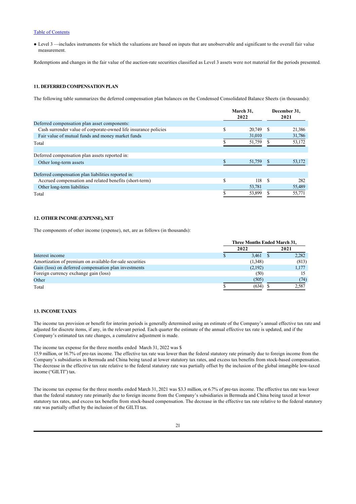● Level 3 —includes instruments for which the valuations are based on inputs that are unobservable and significant to the overall fair value measurement.

Redemptions and changes in the fair value of the auction-rate securities classified as Level 3 assets were not material for the periods presented.

## **11. DEFERRED COMPENSATION PLAN**

The following table summarizes the deferred compensation plan balances on the Condensed Consolidated Balance Sheets (in thousands):

|                                                                 | March 31,<br>2022 |    | December 31,<br>2021 |
|-----------------------------------------------------------------|-------------------|----|----------------------|
| Deferred compensation plan asset components:                    |                   |    |                      |
| Cash surrender value of corporate-owned life insurance policies | \$<br>20,749 \$   |    | 21,386               |
| Fair value of mutual funds and money market funds               | 31,010            |    | 31,786               |
| Total                                                           | 51,759            |    | 53,172               |
| Deferred compensation plan assets reported in:                  |                   |    |                      |
| Other long-term assets                                          | 51,759            |    | 53,172               |
| Deferred compensation plan liabilities reported in:             |                   |    |                      |
| Accrued compensation and related benefits (short-term)          | \$<br>118         | -S | 282                  |
| Other long-term liabilities                                     | 53,781            |    | 55,489               |
| Total                                                           | 53,899            |    | 55,771               |

#### **12. OTHER INCOME (EXPENSE), NET**

The components of other income (expense), net, are as follows (in thousands):

|                                                          | Three Months Ended March 31, |  |       |  |  |
|----------------------------------------------------------|------------------------------|--|-------|--|--|
|                                                          | 2022                         |  | 2021  |  |  |
| Interest income                                          | 3.461                        |  | 2.282 |  |  |
| Amortization of premium on available-for-sale securities | (1,348)                      |  | (813) |  |  |
| Gain (loss) on deferred compensation plan investments    | (2,192)                      |  | 1,177 |  |  |
| Foreign currency exchange gain (loss)                    | (50)                         |  |       |  |  |
| Other                                                    | (505)                        |  | (74)  |  |  |
| Total                                                    | (634)                        |  | 2,587 |  |  |

## **13. INCOME TAXES**

The income tax provision or benefit for interim periods is generally determined using an estimate of the Company's annual effective tax rate and adjusted for discrete items, if any, in the relevant period. Each quarter the estimate of the annual effective tax rate is updated, and if the Company's estimated tax rate changes, a cumulative adjustment is made.

The income tax expense for the three months ended March 31, 2022 was \$

15.9 million, or 16.7% of pre-tax income. The effective tax rate was lower than the federal statutory rate primarily due to foreign income from the Company's subsidiaries in Bermuda and China being taxed at lower statutory tax rates, and excess tax benefits from stock-based compensation. The decrease in the effective tax rate relative to the federal statutory rate was partially offset by the inclusion of the global intangible low-taxed income ("GILTI") tax.

The income tax expense for the three months ended March 31, 2021 was \$3.3 million, or 6.7% of pre-tax income. The effective tax rate was lower than the federal statutory rate primarily due to foreign income from the Company's subsidiaries in Bermuda and China being taxed at lower statutory tax rates, and excess tax benefits from stock-based compensation. The decrease in the effective tax rate relative to the federal statutory rate was partially offset by the inclusion of the GILTI tax.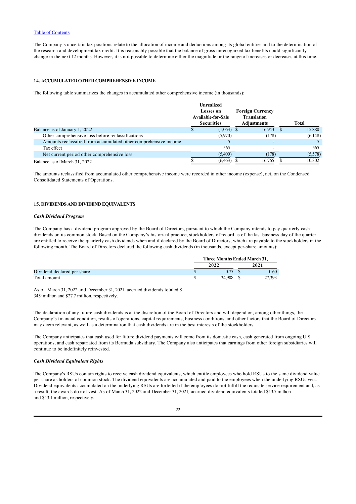The Company's uncertain tax positions relate to the allocation of income and deductions among its global entities and to the determination of the research and development tax credit. It is reasonably possible that the balance of gross unrecognized tax benefits could significantly change in the next 12 months. However, it is not possible to determine either the magnitude or the range of increases or decreases at this time.

### **14. ACCUMULATED OTHER COMPREHENSIVE INCOME**

The following table summarizes the changes in accumulated other comprehensive income (in thousands):

|                                                                  | <b>Unrealized</b><br><b>Losses</b> on<br><b>Available-for-Sale</b><br><b>Securities</b> |  | <b>Foreign Currency</b><br><b>Translation</b><br><b>Adjustments</b> | <b>Total</b> |
|------------------------------------------------------------------|-----------------------------------------------------------------------------------------|--|---------------------------------------------------------------------|--------------|
| Balance as of January 1, 2022                                    | $(1,063)$ \$                                                                            |  | 16,943                                                              | 15,880       |
| Other comprehensive loss before reclassifications                | (5,970)                                                                                 |  | (178)                                                               | (6,148)      |
| Amounts reclassified from accumulated other comprehensive income |                                                                                         |  |                                                                     |              |
| Tax effect                                                       | 565                                                                                     |  |                                                                     | 565          |
| Net current period other comprehensive loss                      | (5,400)                                                                                 |  | (178)                                                               | (5,578)      |
| Balance as of March 31, 2022                                     | (6, 463)                                                                                |  | 16.765                                                              | 10,302       |
|                                                                  |                                                                                         |  |                                                                     |              |

The amounts reclassified from accumulated other comprehensive income were recorded in other income (expense), net, on the Condensed Consolidated Statements of Operations.

### **15. DIVIDENDS AND DIVIDEND EQUIVALENTS**

#### *Cash Dividend Program*

The Company has a dividend program approved by the Board of Directors, pursuant to which the Company intends to pay quarterly cash dividends on its common stock. Based on the Company's historical practice, stockholders of record as of the last business day of the quarter are entitled to receive the quarterly cash dividends when and if declared by the Board of Directors, which are payable to the stockholders in the following month. The Board of Directors declared the following cash dividends (in thousands, except per-share amounts):

|                             | <b>Three Months Ended March 31.</b> |  |        |  |  |
|-----------------------------|-------------------------------------|--|--------|--|--|
|                             | 2022                                |  | 2021   |  |  |
| Dividend declared per share | 0.75                                |  | 0.60   |  |  |
| Total amount                | 34,908 \$                           |  | 27,393 |  |  |

As of March 31, 2022 and December 31, 2021, accrued dividends totaled \$

34.9 million and \$27.7 million, respectively.

The declaration of any future cash dividends is at the discretion of the Board of Directors and will depend on, among other things, the Company's financial condition, results of operations, capital requirements, business conditions, and other factors that the Board of Directors may deem relevant, as well as a determination that cash dividends are in the best interests of the stockholders.

The Company anticipates that cash used for future dividend payments will come from its domestic cash, cash generated from ongoing U.S. operations, and cash repatriated from its Bermuda subsidiary. The Company also anticipates that earnings from other foreign subsidiaries will continue to be indefinitely reinvested.

### *Cash Dividend Equivalent Rights*

The Company's RSUs contain rights to receive cash dividend equivalents, which entitle employees who hold RSUs to the same dividend value per share as holders of common stock. The dividend equivalents are accumulated and paid to the employees when the underlying RSUs vest. Dividend equivalents accumulated on the underlying RSUs are forfeited if the employees do not fulfill the requisite service requirement and, as a result, the awards do not vest. As of March 31, 2022 and December 31, 2021*,* accrued dividend equivalents totaled \$13.7 million and \$13.1 million, respectively.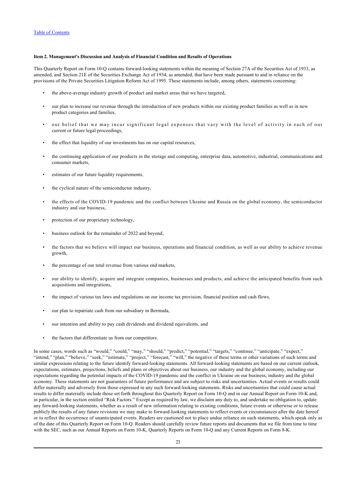#### <span id="page-24-0"></span>**Item 2. Management's Discussion and Analysis of Financial Condition and Results of Operations**

This Quarterly Report on Form 10-Q contains forward-looking statements within the meaning of Section 27A of the Securities Act of 1933, as amended, and Section 21E of the Securities Exchange Act of 1934, as amended, that have been made pursuant to and in reliance on the provisions of the Private Securities Litigation Reform Act of 1995. These statements include, among others, statements concerning:

- the above-average industry growth of product and market areas that we have targeted,
- our plan to increase our revenue through the introduction of new products within our existing product families as well as in new product categories and families,
- our belief that we may incur significant legal expenses that vary with the level of activity in each of our current or future legal proceedings,
- the effect that liquidity of our investments has on our capital resources,
- the continuing application of our products in the storage and computing, enterprise data, automotive, industrial, communications and consumer markets,
- estimates of our future liquidity requirements,
- the cyclical nature of the semiconductor industry,
- the effects of the COVID-19 pandemic and the conflict between Ukraine and Russia on the global economy, the semiconductor industry and our business,
- protection of our proprietary technology,
- business outlook for the remainder of 2022 and beyond,
- the factors that we believe will impact our business, operations and financial condition, as well as our ability to achieve revenue growth,
- the percentage of our total revenue from various end markets,
- our ability to identify, acquire and integrate companies, businesses and products, and achieve the anticipated benefits from such acquisitions and integrations,
- the impact of various tax laws and regulations on our income tax provision, financial position and cash flows,
- our plan to repatriate cash from our subsidiary in Bermuda,
- our intention and ability to pay cash dividends and dividend equivalents, and
- the factors that differentiate us from our competitors.

In some cases, words such as "would," "could," "may," "should," "predict," "potential," "targets," "continue," "anticipate," "expect," "intend," "plan," "believe," "seek," "estimate," "project," "forecast," "will," the negative of these terms or other variations of such terms and similar expressions relating to the future identify forward-looking statements. All forward-looking statements are based on our current outlook, expectations, estimates, projections, beliefs and plans or objectives about our business, our industry and the global economy, including our expectations regarding the potential impacts of the COVID-19 pandemic and the conflict in Ukraine on our business, industry and the global economy. These statements are not guarantees of future performance and are subject to risks and uncertainties. Actual events or results could differ materially and adversely from those expressed in any such forward-looking statements. Risks and uncertainties that could cause actual results to differ materially include those set forth throughout this Quarterly Report on Form 10-Q and in our Annual Report on Form 10-K and, in particular, in the section entitled "Risk Factors." Except as required by law, we disclaim any duty to, and undertake no obligation to, update any forward-looking statements, whether as a result of new information relating to existing conditions, future events or otherwise or to release publicly the results of any future revisions we may make to forward-looking statements to reflect events or circumstances after the date hereof or to reflect the occurrence of unanticipated events. Readers are cautioned not to place undue reliance on such statements, which speak only as of the date of this Quarterly Report on Form 10-Q. Readers should carefully review future reports and documents that we file from time to time with the SEC, such as our Annual Reports on Form 10-K, Quarterly Reports on Form 10-Q and any Current Reports on Form 8-K.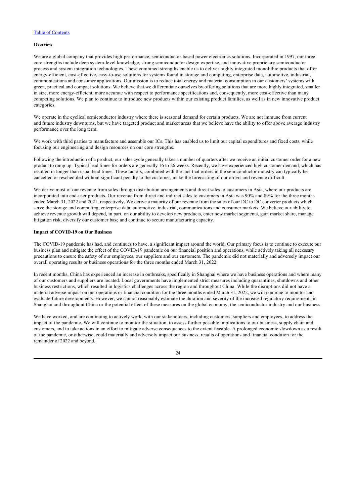#### **Overview**

We are a global company that provides high-performance, semiconductor-based power electronics solutions. Incorporated in 1997, our three core strengths include deep system-level knowledge, strong semiconductor design expertise, and innovative proprietary semiconductor process and system integration technologies. These combined strengths enable us to deliver highly integrated monolithic products that offer energy-efficient, cost-effective, easy-to-use solutions for systems found in storage and computing, enterprise data, automotive, industrial, communications and consumer applications. Our mission is to reduce total energy and material consumption in our customers' systems with green, practical and compact solutions. We believe that we differentiate ourselves by offering solutions that are more highly integrated, smaller in size, more energy-efficient, more accurate with respect to performance specifications and, consequently, more cost-effective than many competing solutions. We plan to continue to introduce new products within our existing product families, as well as in new innovative product categories.

We operate in the cyclical semiconductor industry where there is seasonal demand for certain products. We are not immune from current and future industry downturns, but we have targeted product and market areas that we believe have the ability to offer above average industry performance over the long term.

We work with third parties to manufacture and assemble our ICs. This has enabled us to limit our capital expenditures and fixed costs, while focusing our engineering and design resources on our core strengths.

Following the introduction of a product, our sales cycle generally takes a number of quarters after we receive an initial customer order for a new product to ramp up. Typical lead times for orders are generally 16 to 26 weeks. Recently, we have experienced high customer demand, which has resulted in longer than usual lead times. These factors, combined with the fact that orders in the semiconductor industry can typically be cancelled or rescheduled without significant penalty to the customer, make the forecasting of our orders and revenue difficult.

We derive most of our revenue from sales through distribution arrangements and direct sales to customers in Asia, where our products are incorporated into end-user products. Our revenue from direct and indirect sales to customers in Asia was 90% and 89% for the three months ended March 31, 2022 and 2021, respectively. We derive a majority of our revenue from the sales of our DC to DC converter products which serve the storage and computing, enterprise data, automotive, industrial, communications and consumer markets. We believe our ability to achieve revenue growth will depend, in part, on our ability to develop new products, enter new market segments, gain market share, manage litigation risk, diversify our customer base and continue to secure manufacturing capacity.

## **Impact of COVID-19 on Our Business**

The COVID-19 pandemic has had, and continues to have, a significant impact around the world. Our primary focus is to continue to execute our business plan and mitigate the effect of the COVID-19 pandemic on our financial position and operations, while actively taking all necessary precautions to ensure the safety of our employees, our suppliers and our customers. The pandemic did not materially and adversely impact our overall operating results or business operations for the three months ended March 31, 2022.

In recent months, China has experienced an increase in outbreaks, specifically in Shanghai where we have business operations and where many of our customers and suppliers are located. Local governments have implemented strict measures including quarantines, shutdowns and other business restrictions, which resulted in logistics challenges across the region and throughout China. While the disruptions did not have a material adverse impact on our operations or financial condition for the three months ended March 31, 2022, we will continue to monitor and evaluate future developments. However, we cannot reasonably estimate the duration and severity of the increased regulatory requirements in Shanghai and throughout China or the potential effect of these measures on the global economy, the semiconductor industry and our business.

We have worked, and are continuing to actively work, with our stakeholders, including customers, suppliers and employees, to address the impact of the pandemic. We will continue to monitor the situation, to assess further possible implications to our business, supply chain and customers, and to take actions in an effort to mitigate adverse consequences to the extent feasible. A prolonged economic slowdown as a result of the pandemic, or otherwise, could materially and adversely impact our business, results of operations and financial condition for the remainder of 2022 and beyond.

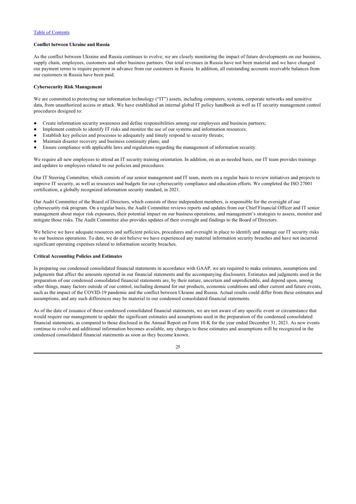## **Conflict between Ukraine and Russia**

As the conflict between Ukraine and Russia continues to evolve, we are closely monitoring the impact of future developments on our business, supply chain, employees, customers and other business partners. Our total revenues in Russia have not been material and we have changed our payment terms to require payment in advance from our customers in Russia. In addition, all outstanding accounts receivable balances from our customers in Russia have been paid.

#### **Cybersecurity Risk Management**

We are committed to protecting our information technology ("IT") assets, including computers, systems, corporate networks and sensitive data, from unauthorized access or attack. We have established an internal global IT policy handbook as well as IT security management control procedures designed to:

- Create information security awareness and define responsibilities among our employees and business partners;
- Implement controls to identify IT risks and monitor the use of our systems and information resources;
- Establish key policies and processes to adequately and timely respond to security threats;
- Maintain disaster recovery and business continuity plans; and
- Ensure compliance with applicable laws and regulations regarding the management of information security.

We require all new employees to attend an IT security training orientation. In addition, on an as-needed basis, our IT team provides trainings and updates to employees related to our policies and procedures.

Our IT Steering Committee, which consists of our senior management and IT team, meets on a regular basis to review initiatives and projects to improve IT security, as well as resources and budgets for our cybersecurity compliance and education efforts. We completed the ISO 27001 certification, a globally recognized information security standard, in 2021.

Our Audit Committee of the Board of Directors, which consists of three independent members, is responsible for the oversight of our cybersecurity risk program. On a regular basis, the Audit Committee reviews reports and updates from our Chief Financial Officer and IT senior management about major risk exposures, their potential impact on our business operations, and management's strategies to assess, monitor and mitigate those risks. The Audit Committee also provides updates of their oversight and findings to the Board of Directors.

We believe we have adequate resources and sufficient policies, procedures and oversight in place to identify and manage our IT security risks to our business operations. To date, we do not believe we have experienced any material information security breaches and have not incurred significant operating expenses related to information security breaches.

#### **Critical Accounting Policies and Estimates**

In preparing our condensed consolidated financial statements in accordance with GAAP, we are required to make estimates, assumptions and judgments that affect the amounts reported in our financial statements and the accompanying disclosures. Estimates and judgments used in the preparation of our condensed consolidated financial statements are, by their nature, uncertain and unpredictable, and depend upon, among other things, many factors outside of our control, including demand for our products, economic conditions and other current and future events, such as the impact of the COVID-19 pandemic and the conflict between Ukraine and Russia. Actual results could differ from these estimates and assumptions, and any such differences may be material to our condensed consolidated financial statements.

As of the date of issuance of these condensed consolidated financial statements, we are not aware of any specific event or circumstance that would require our management to update the significant estimates and assumptions used in the preparation of the condensed consolidated financial statements, as compared to those disclosed in the Annual Report on Form 10-K for the year ended December 31, 2021. As new events continue to evolve and additional information becomes available, any changes to these estimates and assumptions will be recognized in the condensed consolidated financial statements as soon as they become known.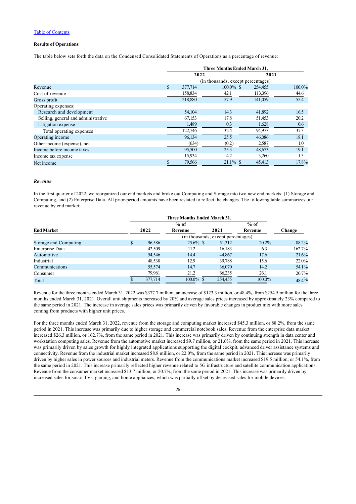## **Results of Operations**

The table below sets forth the data on the Condensed Consolidated Statements of Operations as a percentage of revenue:

|                                     | <b>Three Months Ended March 31,</b> |                                    |         |        |  |  |  |
|-------------------------------------|-------------------------------------|------------------------------------|---------|--------|--|--|--|
|                                     | 2022                                |                                    |         | 2021   |  |  |  |
|                                     |                                     | (in thousands, except percentages) |         |        |  |  |  |
| Revenue                             | \$<br>377,714                       | $100.0\%$ \$                       | 254,455 | 100.0% |  |  |  |
| Cost of revenue                     | 158,834                             | 42.1                               | 113,396 | 44.6   |  |  |  |
| Gross profit                        | 218,880                             | 57.9                               | 141,059 | 55.4   |  |  |  |
| Operating expenses:                 |                                     |                                    |         |        |  |  |  |
| Research and development            | 54,104                              | 14.3                               | 41,892  | 16.5   |  |  |  |
| Selling, general and administrative | 67,153                              | 17.8                               | 51,453  | 20.2   |  |  |  |
| Litigation expense                  | 1,489                               | 0.3                                | 1,628   | 0.6    |  |  |  |
| Total operating expenses            | 122,746                             | 32.4                               | 94,973  | 37.3   |  |  |  |
| Operating income                    | 96,134                              | 25.5                               | 46,086  | 18.1   |  |  |  |
| Other income (expense), net         | (634)                               | (0.2)                              | 2,587   | 1.0    |  |  |  |
| Income before income taxes          | 95,500                              | 25.3                               | 48.673  | 19.1   |  |  |  |
| Income tax expense                  | 15,934                              | 4.2                                | 3,260   | 1.3    |  |  |  |
| Net income                          | 79,566                              | $21.1\%$ \$                        | 45,413  | 17.8%  |  |  |  |

### *Revenue*

In the first quarter of 2022, we reorganized our end markets and broke out Computing and Storage into two new end markets: (1) Storage and Computing, and (2) Enterprise Data. All prior-period amounts have been restated to reflect the changes. The following table summarizes our revenue by end market:

|                       | Three Months Ended March 31,       |              |         |         |          |  |  |  |
|-----------------------|------------------------------------|--------------|---------|---------|----------|--|--|--|
|                       |                                    | $%$ of       |         | $%$ of  |          |  |  |  |
| <b>End Market</b>     | 2022                               | Revenue      | 2021    | Revenue | Change   |  |  |  |
|                       | (in thousands, except percentages) |              |         |         |          |  |  |  |
| Storage and Computing | \$<br>96,586                       | $25.6\%$ \$  | 51.312  | 20.2%   | 88.2%    |  |  |  |
| Enterprise Data       | 42,509                             | 11.2         | 16.183  | 6.3     | 162.7%   |  |  |  |
| Automotive            | 54,546                             | 14.4         | 44.867  | 17.6    | 21.6%    |  |  |  |
| Industrial            | 48,538                             | 12.9         | 39,788  | 15.6    | 22.0%    |  |  |  |
| Communications        | 55,574                             | 14.7         | 36,070  | 14.2    | 54.1%    |  |  |  |
| Consumer              | 79,961                             | 21.2         | 66,235  | 26.1    | 20.7%    |  |  |  |
| Total                 | 377,714                            | $100.0\%$ \$ | 254,455 | 100.0%  | $48.4\%$ |  |  |  |

Revenue for the three months ended March 31, 2022 was \$377.7 million, an increase of \$123.3 million, or 48.4%, from \$254.5 million for the three months ended March 31, 2021. Overall unit shipments increased by 20% and average sales prices increased by approximately 23% compared to the same period in 2021. The increase in average sales prices was primarily driven by favorable changes in product mix with more sales coming from products with higher unit prices.

For the three months ended March 31, 2022, revenue from the storage and computing market increased \$45.3 million, or 88.2%, from the same period in 2021. This increase was primarily due to higher storage and commercial notebook sales. Revenue from the enterprise data market increased \$26.3 million, or 162.7%, from the same period in 2021. This increase was primarily driven by continuing strength in data center and workstation computing sales. Revenue from the automotive market increased \$9.7 million, or 21.6%, from the same period in 2021. This increase was primarily driven by sales growth for highly integrated applications supporting the digital cockpit, advanced driver assistance systems and connectivity. Revenue from the industrial market increased \$8.8 million, or 22.0%, from the same period in 2021. This increase was primarily driven by higher sales in power sources and industrial meters. Revenue from the communications market increased \$19.5 million, or 54.1%, from the same period in 2021. This increase primarily reflected higher revenue related to 5G infrastructure and satellite communication applications. Revenue from the consumer market increased \$13.7 million, or 20.7%, from the same period in 2021. This increase was primarily driven by increased sales for smart TVs, gaming, and home appliances, which was partially offset by decreased sales for mobile devices.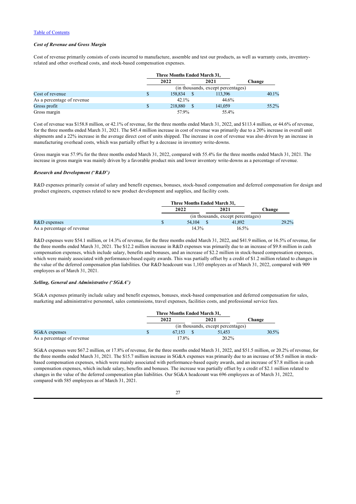### *Cost of Revenue and Gross Margin*

Cost of revenue primarily consists of costs incurred to manufacture, assemble and test our products, as well as warranty costs, inventoryrelated and other overhead costs, and stock-based compensation expenses.

|                            |   | Three Months Ended March 31, |  |                                    |        |  |
|----------------------------|---|------------------------------|--|------------------------------------|--------|--|
|                            |   | 2022                         |  | 2021                               | Change |  |
|                            |   |                              |  | (in thousands, except percentages) |        |  |
| Cost of revenue            | S | 158,834                      |  | 113.396                            | 40.1%  |  |
| As a percentage of revenue |   | $42.1\%$                     |  | 44.6%                              |        |  |
| Gross profit               |   | 218,880                      |  | 141,059                            | 55.2%  |  |
| Gross margin               |   | 57.9%                        |  | 55.4%                              |        |  |

Cost of revenue was \$158.8 million, or 42.1% of revenue, for the three months ended March 31, 2022, and \$113.4 million, or 44.6% of revenue, for the three months ended March 31, 2021. The \$45.4 million increase in cost of revenue was primarily due to a 20% increase in overall unit shipments and a 22% increase in the average direct cost of units shipped. The increase in cost of revenue was also driven by an increase in manufacturing overhead costs, which was partially offset by a decrease in inventory write-downs.

Gross margin was 57.9% for the three months ended March 31, 2022, compared with 55.4% for the three months ended March 31, 2021. The increase in gross margin was mainly driven by a favorable product mix and lower inventory write-downs as a percentage of revenue.

#### *Research and Development (*"*R&D*"*)*

R&D expenses primarily consist of salary and benefit expenses, bonuses, stock-based compensation and deferred compensation for design and product engineers, expenses related to new product development and supplies, and facility costs.

|                            | Three Months Ended March 31, |  |                                    |        |
|----------------------------|------------------------------|--|------------------------------------|--------|
|                            | 2022                         |  | 2021                               | Change |
|                            |                              |  | (in thousands, except percentages) |        |
| $R&D$ expenses             | 54,104                       |  | 41,892                             | 29.2%  |
| As a percentage of revenue | $14.3\%$                     |  | $16.5\%$                           |        |

R&D expenses were \$54.1 million, or 14.3% of revenue, for the three months ended March 31, 2022, and \$41.9 million, or 16.5% of revenue, for the three months ended March 31, 2021. The \$12.2 million increase in R&D expenses was primarily due to an increase of \$9.8 million in cash compensation expenses, which include salary, benefits and bonuses, and an increase of \$2.2 million in stock-based compensation expenses, which were mainly associated with performance-based equity awards. This was partially offset by a credit of \$1.2 million related to changes in the value of the deferred compensation plan liabilities. Our R&D headcount was 1,103 employees as of March 31, 2022, compared with 909 employees as of March 31, 2021.

### *Selling, General and Administrative (*"*SG&A*"*)*

SG&A expenses primarily include salary and benefit expenses, bonuses, stock-based compensation and deferred compensation for sales, marketing and administrative personnel, sales commissions, travel expenses, facilities costs, and professional service fees.

|                            | Three Months Ended March 31,       |  |        |        |       |
|----------------------------|------------------------------------|--|--------|--------|-------|
|                            | 2022                               |  | 2021   | Change |       |
|                            | (in thousands, except percentages) |  |        |        |       |
| $SG&A$ expenses            | 67.153                             |  | 51.453 |        | 30.5% |
| As a percentage of revenue | 17.8%                              |  | 20.2%  |        |       |

SG&A expenses were \$67.2 million, or 17.8% of revenue, for the three months ended March 31, 2022, and \$51.5 million, or 20.2% of revenue, for the three months ended March 31, 2021. The \$15.7 million increase in SG&A expenses was primarily due to an increase of \$8.5 million in stockbased compensation expenses, which were mainly associated with performance-based equity awards, and an increase of \$7.8 million in cash compensation expenses, which include salary, benefits and bonuses. The increase was partially offset by a credit of \$2.1 million related to changes in the value of the deferred compensation plan liabilities. Our SG&A headcount was 696 employees as of March 31, 2022, compared with 585 employees as of March 31, 2021.

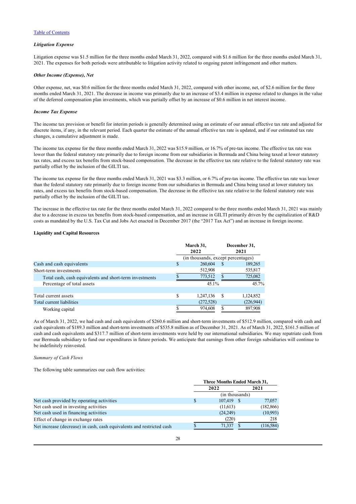### *Litigation Expense*

Litigation expense was \$1.5 million for the three months ended March 31, 2022, compared with \$1.6 million for the three months ended March 31, 2021. The expenses for both periods were attributable to litigation activity related to ongoing patent infringement and other matters.

### *Other Income (Expense), Net*

Other expense, net, was \$0.6 million for the three months ended March 31, 2022, compared with other income, net, of \$2.6 million for the three months ended March 31, 2021. The decrease in income was primarily due to an increase of \$3.4 million in expense related to changes in the value of the deferred compensation plan investments, which was partially offset by an increase of \$0.6 million in net interest income.

#### *Income Tax Expense*

The income tax provision or benefit for interim periods is generally determined using an estimate of our annual effective tax rate and adjusted for discrete items, if any, in the relevant period. Each quarter the estimate of the annual effective tax rate is updated, and if our estimated tax rate changes, a cumulative adjustment is made.

The income tax expense for the three months ended March 31, 2022 was \$15.9 million, or 16.7% of pre-tax income. The effective tax rate was lower than the federal statutory rate primarily due to foreign income from our subsidiaries in Bermuda and China being taxed at lower statutory tax rates, and excess tax benefits from stock-based compensation. The decrease in the effective tax rate relative to the federal statutory rate was partially offset by the inclusion of the GILTI tax.

The income tax expense for the three months ended March 31, 2021 was \$3.3 million, or 6.7% of pre-tax income. The effective tax rate was lower than the federal statutory rate primarily due to foreign income from our subsidiaries in Bermuda and China being taxed at lower statutory tax rates, and excess tax benefits from stock-based compensation. The decrease in the effective tax rate relative to the federal statutory rate was partially offset by the inclusion of the GILTI tax.

The increase in the effective tax rate for the three months ended March 31, 2022 compared to the three months ended March 31, 2021 was mainly due to a decrease in excess tax benefits from stock-based compensation, and an increase in GILTI primarily driven by the capitalization of R&D costs as mandated by the U.S. Tax Cut and Jobs Act enacted in December 2017 (the "2017 Tax Act") and an increase in foreign income.

### **Liquidity and Capital Resources**

|                                                         | March 31,<br>2022                  |            | December 31,<br>2021 |           |
|---------------------------------------------------------|------------------------------------|------------|----------------------|-----------|
|                                                         | (in thousands, except percentages) |            |                      |           |
| Cash and cash equivalents                               | \$                                 | 260,604    | <sup>\$</sup>        | 189,265   |
| Short-term investments                                  |                                    | 512,908    |                      | 535,817   |
| Total cash, cash equivalents and short-term investments |                                    | 773.512    |                      | 725,082   |
| Percentage of total assets                              |                                    | 45.1%      |                      | $45.7\%$  |
| Total current assets                                    | S                                  | 1,247,136  | -S                   | 1,124,852 |
| Total current liabilities                               |                                    | (272, 528) |                      | (226,944) |
| Working capital                                         |                                    | 974,608    |                      | 897,908   |

As of March 31, 2022, we had cash and cash equivalents of \$260.6 million and short-term investments of \$512.9 million, compared with cash and cash equivalents of \$189.3 million and short-term investments of \$535.8 million as of December 31, 2021. As of March 31, 2022, \$161.5 million of cash and cash equivalents and \$317.7 million of short-term investments were held by our international subsidiaries. We may repatriate cash from our Bermuda subsidiary to fund our expenditures in future periods. We anticipate that earnings from other foreign subsidiaries will continue to be indefinitely reinvested.

## *Summary of Cash Flows*

The following table summarizes our cash flow activities:

|                                                                       | Three Months Ended March 31, |                |  |            |
|-----------------------------------------------------------------------|------------------------------|----------------|--|------------|
|                                                                       |                              | 2022           |  | 2021       |
|                                                                       |                              | (in thousands) |  |            |
| Net cash provided by operating activities                             |                              | 107.419        |  | 77,057     |
| Net cash used in investing activities                                 |                              | (11,613)       |  | (182, 866) |
| Net cash used in financing activities                                 |                              | (24,249)       |  | (10,993)   |
| Effect of change in exchange rates                                    |                              | (220)          |  | 218        |
| Net increase (decrease) in cash, cash equivalents and restricted cash |                              | 71.337         |  | (116,584)  |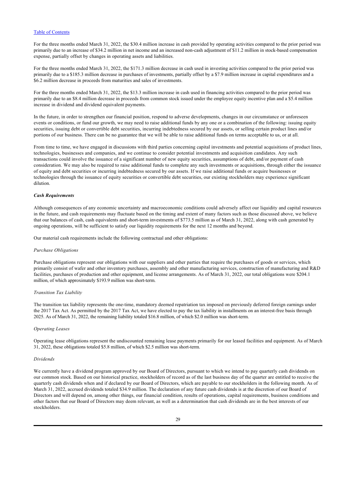For the three months ended March 31, 2022, the \$30.4 million increase in cash provided by operating activities compared to the prior period was primarily due to an increase of \$34.2 million in net income and an increased non-cash adjustment of \$11.2 million in stock-based compensation expense, partially offset by changes in operating assets and liabilities.

For the three months ended March 31, 2022, the \$171.3 million decrease in cash used in investing activities compared to the prior period was primarily due to a \$185.3 million decrease in purchases of investments, partially offset by a \$7.9 million increase in capital expenditures and a \$6.2 million decrease in proceeds from maturities and sales of investments.

For the three months ended March 31, 2022, the \$13.3 million increase in cash used in financing activities compared to the prior period was primarily due to an \$8.4 million decrease in proceeds from common stock issued under the employee equity incentive plan and a \$5.4 million increase in dividend and dividend equivalent payments.

In the future, in order to strengthen our financial position, respond to adverse developments, changes in our circumstance or unforeseen events or conditions, or fund our growth, we may need to raise additional funds by any one or a combination of the following: issuing equity securities, issuing debt or convertible debt securities, incurring indebtedness secured by our assets, or selling certain product lines and/or portions of our business. There can be no guarantee that we will be able to raise additional funds on terms acceptable to us, or at all.

From time to time, we have engaged in discussions with third parties concerning capital investments and potential acquisitions of product lines, technologies, businesses and companies, and we continue to consider potential investments and acquisition candidates. Any such transactions could involve the issuance of a significant number of new equity securities, assumptions of debt, and/or payment of cash consideration. We may also be required to raise additional funds to complete any such investments or acquisitions, through either the issuance of equity and debt securities or incurring indebtedness secured by our assets. If we raise additional funds or acquire businesses or technologies through the issuance of equity securities or convertible debt securities, our existing stockholders may experience significant dilution.

#### *Cash Requirements*

Although consequences of any economic uncertainty and macroeconomic conditions could adversely affect our liquidity and capital resources in the future, and cash requirements may fluctuate based on the timing and extent of many factors such as those discussed above, we believe that our balances of cash, cash equivalents and short-term investments of \$773.5 million as of March 31, 2022, along with cash generated by ongoing operations, will be sufficient to satisfy our liquidity requirements for the next 12 months and beyond.

Our material cash requirements include the following contractual and other obligations:

#### *Purchase Obligations*

Purchase obligations represent our obligations with our suppliers and other parties that require the purchases of goods or services, which primarily consist of wafer and other inventory purchases, assembly and other manufacturing services, construction of manufacturing and R&D facilities, purchases of production and other equipment, and license arrangements. As of March 31, 2022, our total obligations were \$204.1 million, of which approximately \$193.9 million was short-term.

### *Transition Tax Liability*

The transition tax liability represents the one-time, mandatory deemed repatriation tax imposed on previously deferred foreign earnings under the 2017 Tax Act. As permitted by the 2017 Tax Act, we have elected to pay the tax liability in installments on an interest-free basis through 2025. As of March 31, 2022, the remaining liability totaled \$16.8 million, of which \$2.0 million was short-term.

#### *Operating Leases*

Operating lease obligations represent the undiscounted remaining lease payments primarily for our leased facilities and equipment. As of March 31, 2022, these obligations totaled \$5.8 million, of which \$2.5 million was short-term.

#### *Dividends*

We currently have a dividend program approved by our Board of Directors, pursuant to which we intend to pay quarterly cash dividends on our common stock. Based on our historical practice, stockholders of record as of the last business day of the quarter are entitled to receive the quarterly cash dividends when and if declared by our Board of Directors, which are payable to our stockholders in the following month. As of March 31, 2022, accrued dividends totaled \$34.9 million. The declaration of any future cash dividends is at the discretion of our Board of Directors and will depend on, among other things, our financial condition, results of operations, capital requirements, business conditions and other factors that our Board of Directors may deem relevant, as well as a determination that cash dividends are in the best interests of our stockholders.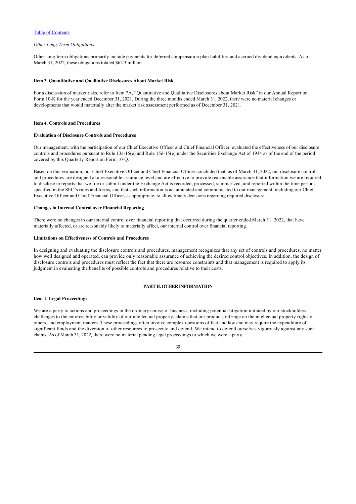### *Other Long-Term Obligations*

Other long-term obligations primarily include payments for deferred compensation plan liabilities and accrued dividend equivalents. As of March 31, 2022, these obligations totaled \$62.3 million.

#### <span id="page-31-0"></span>**Item 3. Quantitative and Qualitative Disclosures About Market Risk**

For a discussion of market risks, refer to Item 7A, "Quantitative and Qualitative Disclosures about Market Risk" in our Annual Report on Form 10-K for the year ended December 31, 2021. During the three months ended March 31, 2022, there were no material changes or developments that would materially alter the market risk assessment performed as of December 31, 2021.

### <span id="page-31-1"></span>**Item 4. Controls and Procedures**

## **Evaluation of Disclosure Controls and Procedures**

Our management, with the participation of our Chief Executive Officer and Chief Financial Officer, evaluated the effectiveness of our disclosure controls and procedures pursuant to Rule 13a-15(e) and Rule 15d-15(e) under the Securities Exchange Act of 1934 as of the end of the period covered by this Quarterly Report on Form 10-Q.

Based on this evaluation, our Chief Executive Officer and Chief Financial Officer concluded that, as of March 31, 2022, our disclosure controls and procedures are designed at a reasonable assurance level and are effective to provide reasonable assurance that information we are required to disclose in reports that we file or submit under the Exchange Act is recorded, processed, summarized, and reported within the time periods specified in the SEC's rules and forms, and that such information is accumulated and communicated to our management, including our Chief Executive Officer and Chief Financial Officer, as appropriate, to allow timely decisions regarding required disclosure.

#### **Changes in Internal Control over Financial Reporting**

There were no changes in our internal control over financial reporting that occurred during the quarter ended March 31, 2022, that have materially affected, or are reasonably likely to materially affect, our internal control over financial reporting.

#### **Limitations on Effectiveness of Controls and Procedures**

In designing and evaluating the disclosure controls and procedures, management recognizes that any set of controls and procedures, no matter how well designed and operated, can provide only reasonable assurance of achieving the desired control objectives. In addition, the design of disclosure controls and procedures must reflect the fact that there are resource constraints and that management is required to apply its judgment in evaluating the benefits of possible controls and procedures relative to their costs.

## <span id="page-31-2"></span>**PART II. OTHER INFORMATION**

#### <span id="page-31-3"></span>**Item 1. Legal Proceedings**

We are a party to actions and proceedings in the ordinary course of business, including potential litigation initiated by our stockholders, challenges to the enforceability or validity of our intellectual property, claims that our products infringe on the intellectual property rights of others, and employment matters. These proceedings often involve complex questions of fact and law and may require the expenditure of significant funds and the diversion of other resources to prosecute and defend. We intend to defend ourselves vigorously against any such claims. As of March 31, 2022*,* there were no material pending legal proceedings to which we were a party.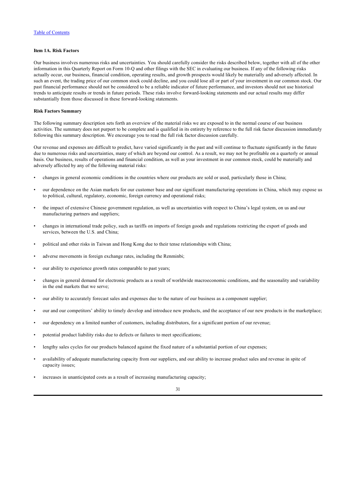## <span id="page-32-0"></span>**Item 1A. Risk Factors**

Our business involves numerous risks and uncertainties. You should carefully consider the risks described below, together with all of the other information in this Quarterly Report on Form 10-Q and other filings with the SEC in evaluating our business. If any of the following risks actually occur, our business, financial condition, operating results, and growth prospects would likely be materially and adversely affected. In such an event, the trading price of our common stock could decline, and you could lose all or part of your investment in our common stock. Our past financial performance should not be considered to be a reliable indicator of future performance, and investors should not use historical trends to anticipate results or trends in future periods. These risks involve forward-looking statements and our actual results may differ substantially from those discussed in these forward-looking statements.

#### **Risk Factors Summary**

The following summary description sets forth an overview of the material risks we are exposed to in the normal course of our business activities. The summary does not purport to be complete and is qualified in its entirety by reference to the full risk factor discussion immediately following this summary description. We encourage you to read the full risk factor discussion carefully.

Our revenue and expenses are difficult to predict, have varied significantly in the past and will continue to fluctuate significantly in the future due to numerous risks and uncertainties, many of which are beyond our control. As a result, we may not be profitable on a quarterly or annual basis. Our business, results of operations and financial condition, as well as your investment in our common stock, could be materially and adversely affected by any of the following material risks:

- changes in general economic conditions in the countries where our products are sold or used, particularly those in China;
- our dependence on the Asian markets for our customer base and our significant manufacturing operations in China, which may expose us to political, cultural, regulatory, economic, foreign currency and operational risks;
- the impact of extensive Chinese government regulation, as well as uncertainties with respect to China's legal system, on us and our manufacturing partners and suppliers;
- changes in international trade policy, such as tariffs on imports of foreign goods and regulations restricting the export of goods and services, between the U.S. and China;
- political and other risks in Taiwan and Hong Kong due to their tense relationships with China;
- adverse movements in foreign exchange rates, including the Renminbi;
- our ability to experience growth rates comparable to past years;
- changes in general demand for electronic products as a result of worldwide macroeconomic conditions, and the seasonality and variability in the end markets that we serve;
- our ability to accurately forecast sales and expenses due to the nature of our business as a component supplier;
- our and our competitors' ability to timely develop and introduce new products, and the acceptance of our new products in the marketplace;
- our dependency on a limited number of customers, including distributors, for a significant portion of our revenue;
- potential product liability risks due to defects or failures to meet specifications;
- lengthy sales cycles for our products balanced against the fixed nature of a substantial portion of our expenses;
- availability of adequate manufacturing capacity from our suppliers, and our ability to increase product sales and revenue in spite of capacity issues;
- increases in unanticipated costs as a result of increasing manufacturing capacity;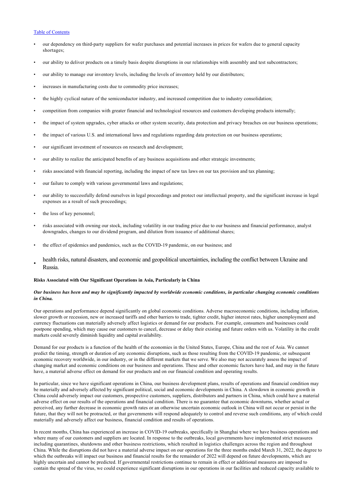- our dependency on third-party suppliers for wafer purchases and potential increases in prices for wafers due to general capacity shortages;
- our ability to deliver products on a timely basis despite disruptions in our relationships with assembly and test subcontractors;
- our ability to manage our inventory levels, including the levels of inventory held by our distributors;
- increases in manufacturing costs due to commodity price increases;
- the highly cyclical nature of the semiconductor industry, and increased competition due to industry consolidation;
- competition from companies with greater financial and technological resources and customers developing products internally;
- the impact of system upgrades, cyber attacks or other system security, data protection and privacy breaches on our business operations;
- the impact of various U.S. and international laws and regulations regarding data protection on our business operations;
- our significant investment of resources on research and development;
- our ability to realize the anticipated benefits of any business acquisitions and other strategic investments;
- risks associated with financial reporting, including the impact of new tax laws on our tax provision and tax planning;
- our failure to comply with various governmental laws and regulations;
- our ability to successfully defend ourselves in legal proceedings and protect our intellectual property, and the significant increase in legal expenses as a result of such proceedings;
- the loss of key personnel;
- risks associated with owning our stock, including volatility in our trading price due to our business and financial performance, analyst downgrades, changes to our dividend program, and dilution from issuance of additional shares;
- the effect of epidemics and pandemics, such as the COVID-19 pandemic, on our business; and
- health risks, natural disasters, and economic and geopolitical uncertainties, including the conflict between Ukraine and Russia.

#### **Risks Associated with Our Significant Operations in Asia, Particularly in China**

## *Our business has been and may be significantly impacted by worldwide economic conditions, in particular changing economic conditions in China.*

Our operations and performance depend significantly on global economic conditions. Adverse macroeconomic conditions, including inflation, slower growth or recession, new or increased tariffs and other barriers to trade, tighter credit, higher interest rates, higher unemployment and currency fluctuations can materially adversely affect logistics or demand for our products. For example, consumers and businesses could postpone spending, which may cause our customers to cancel, decrease or delay their existing and future orders with us. Volatility in the credit markets could severely diminish liquidity and capital availability.

Demand for our products is a function of the health of the economies in the United States, Europe, China and the rest of Asia. We cannot predict the timing, strength or duration of any economic disruptions, such as those resulting from the COVID-19 pandemic, or subsequent economic recovery worldwide, in our industry, or in the different markets that we serve. We also may not accurately assess the impact of changing market and economic conditions on our business and operations. These and other economic factors have had, and may in the future have, a material adverse effect on demand for our products and on our financial condition and operating results.

In particular, since we have significant operations in China, our business development plans, results of operations and financial condition may be materially and adversely affected by significant political, social and economic developments in China. A slowdown in economic growth in China could adversely impact our customers, prospective customers, suppliers, distributors and partners in China, which could have a material adverse effect on our results of the operations and financial condition. There is no guarantee that economic downturns, whether actual or perceived, any further decrease in economic growth rates or an otherwise uncertain economic outlook in China will not occur or persist in the future, that they will not be protracted, or that governments will respond adequately to control and reverse such conditions, any of which could materially and adversely affect our business, financial condition and results of operations.

In recent months, China has experienced an increase in COVID-19 outbreaks, specifically in Shanghai where we have business operations and where many of our customers and suppliers are located. In response to the outbreaks, local governments have implemented strict measures including quarantines, shutdowns and other business restrictions, which resulted in logistics challenges across the region and throughout China. While the disruptions did not have a material adverse impact on our operations for the three months ended March 31, 2022, the degree to which the outbreaks will impact our business and financial results for the remainder of 2022 will depend on future developments, which are highly uncertain and cannot be predicted. If governmental restrictions continue to remain in effect or additional measures are imposed to contain the spread of the virus, we could experience significant disruptions in our operations in our facilities and reduced capacity available to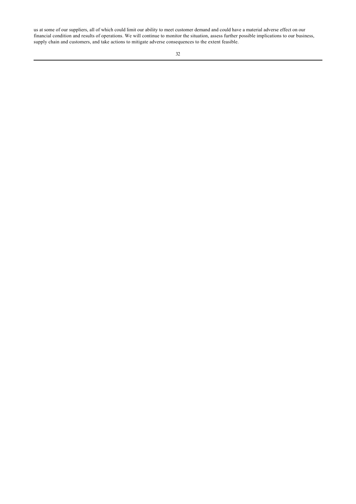us at some of our suppliers, all of which could limit our ability to meet customer demand and could have a material adverse effect on our financial condition and results of operations. We will continue to monitor the situation, assess further possible implications to our business, supply chain and customers, and take actions to mitigate adverse consequences to the extent feasible.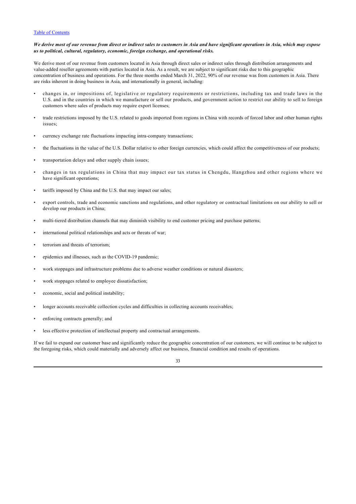### *We derive most of our revenue from direct or indirect sales to customers in Asia and have significant operations in Asia, which may expose us to political, cultural, regulatory, economic, foreign exchange, and operational risks.*

We derive most of our revenue from customers located in Asia through direct sales or indirect sales through distribution arrangements and value-added reseller agreements with parties located in Asia. As a result, we are subject to significant risks due to this geographic concentration of business and operations. For the three months ended March 31, 2022, 90% of our revenue was from customers in Asia. There are risks inherent in doing business in Asia, and internationally in general, including:

- changes in, or impositions of, legislative or regulatory requirements or restrictions, including tax and trade laws in the U.S. and in the countries in which we manufacture or sell our products, and government action to restrict our ability to sell to foreign customers where sales of products may require export licenses;
- trade restrictions imposed by the U.S. related to goods imported from regions in China with records of forced labor and other human rights issues;
- currency exchange rate fluctuations impacting intra-company transactions;
- the fluctuations in the value of the U.S. Dollar relative to other foreign currencies, which could affect the competitiveness of our products;
- transportation delays and other supply chain issues;
- changes in tax regulations in China that may impact our tax status in Chengdu, Hangzhou and other regions where we have significant operations;
- tariffs imposed by China and the U.S. that may impact our sales;
- export controls, trade and economic sanctions and regulations, and other regulatory or contractual limitations on our ability to sell or develop our products in China;
- multi-tiered distribution channels that may diminish visibility to end customer pricing and purchase patterns;
- international political relationships and acts or threats of war;
- terrorism and threats of terrorism;
- epidemics and illnesses, such as the COVID-19 pandemic;
- work stoppages and infrastructure problems due to adverse weather conditions or natural disasters;
- work stoppages related to employee dissatisfaction;
- economic, social and political instability;
- longer accounts receivable collection cycles and difficulties in collecting accounts receivables;
- enforcing contracts generally; and
- less effective protection of intellectual property and contractual arrangements.

If we fail to expand our customer base and significantly reduce the geographic concentration of our customers, we will continue to be subject to the foregoing risks, which could materially and adversely affect our business, financial condition and results of operations.

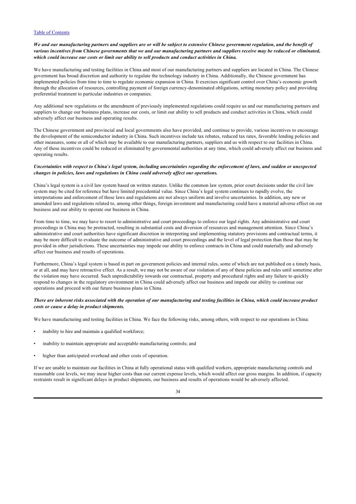## *We and our manufacturing partners and suppliers are or will be subject to extensive Chinese government regulation, and the benefit of various incentives from Chinese governments that we and our manufacturing partners and suppliers receive may be reduced or eliminated, which could increase our costs or limit our ability to sell products and conduct activities in China.*

We have manufacturing and testing facilities in China and most of our manufacturing partners and suppliers are located in China. The Chinese government has broad discretion and authority to regulate the technology industry in China. Additionally, the Chinese government has implemented policies from time to time to regulate economic expansion in China. It exercises significant control over China's economic growth through the allocation of resources, controlling payment of foreign currency-denominated obligations, setting monetary policy and providing preferential treatment to particular industries or companies.

Any additional new regulations or the amendment of previously implemented regulations could require us and our manufacturing partners and suppliers to change our business plans, increase our costs, or limit our ability to sell products and conduct activities in China, which could adversely affect our business and operating results.

The Chinese government and provincial and local governments also have provided, and continue to provide, various incentives to encourage the development of the semiconductor industry in China. Such incentives include tax rebates, reduced tax rates, favorable lending policies and other measures, some or all of which may be available to our manufacturing partners, suppliers and us with respect to our facilities in China. Any of these incentives could be reduced or eliminated by governmental authorities at any time, which could adversely affect our business and operating results.

## *Uncertainties with respect to China*'*s legal system, including uncertainties regarding the enforcement of laws, and sudden or unexpected changes in policies, laws and regulations in China could adversely affect our operations.*

China's legal system is a civil law system based on written statutes. Unlike the common law system, prior court decisions under the civil law system may be cited for reference but have limited precedential value. Since China's legal system continues to rapidly evolve, the interpretations and enforcement of these laws and regulations are not always uniform and involve uncertainties. In addition, any new or amended laws and regulations related to, among other things, foreign investment and manufacturing could have a material adverse effect on our business and our ability to operate our business in China.

From time to time, we may have to resort to administrative and court proceedings to enforce our legal rights. Any administrative and court proceedings in China may be protracted, resulting in substantial costs and diversion of resources and management attention. Since China's administrative and court authorities have significant discretion in interpreting and implementing statutory provisions and contractual terms, it may be more difficult to evaluate the outcome of administrative and court proceedings and the level of legal protection than those that may be provided in other jurisdictions. These uncertainties may impede our ability to enforce contracts in China and could materially and adversely affect our business and results of operations.

Furthermore, China's legal system is based in part on government policies and internal rules, some of which are not published on a timely basis, or at all, and may have retroactive effect. As a result, we may not be aware of our violation of any of these policies and rules until sometime after the violation may have occurred. Such unpredictability towards our contractual, property and procedural rights and any failure to quickly respond to changes in the regulatory environment in China could adversely affect our business and impede our ability to continue our operations and proceed with our future business plans in China.

## *There are inherent risks associated with the operation of our manufacturing and testing facilities in China, which could increase product costs or cause a delay in product shipments.*

We have manufacturing and testing facilities in China. We face the following risks, among others, with respect to our operations in China:

- inability to hire and maintain a qualified workforce;
- inability to maintain appropriate and acceptable manufacturing controls; and
- higher than anticipated overhead and other costs of operation.

If we are unable to maintain our facilities in China at fully operational status with qualified workers, appropriate manufacturing controls and reasonable cost levels, we may incur higher costs than our current expense levels, which would affect our gross margins. In addition, if capacity restraints result in significant delays in product shipments, our business and results of operations would be adversely affected.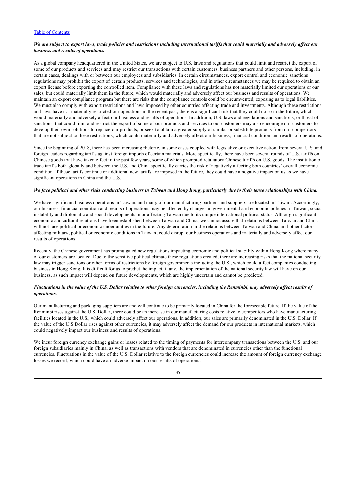## We are subject to export laws, trade policies and restrictions including international tariffs that could materially and adversely affect our *business and results of operations.*

As a global company headquartered in the United States, we are subject to U.S. laws and regulations that could limit and restrict the export of some of our products and services and may restrict our transactions with certain customers, business partners and other persons, including, in certain cases, dealings with or between our employees and subsidiaries. In certain circumstances, export control and economic sanctions regulations may prohibit the export of certain products, services and technologies, and in other circumstances we may be required to obtain an export license before exporting the controlled item. Compliance with these laws and regulations has not materially limited our operations or our sales, but could materially limit them in the future, which would materially and adversely affect our business and results of operations. We maintain an export compliance program but there are risks that the compliance controls could be circumvented, exposing us to legal liabilities. We must also comply with export restrictions and laws imposed by other countries affecting trade and investments. Although these restrictions and laws have not materially restricted our operations in the recent past, there is a significant risk that they could do so in the future, which would materially and adversely affect our business and results of operations. In addition, U.S. laws and regulations and sanctions, or threat of sanctions, that could limit and restrict the export of some of our products and services to our customers may also encourage our customers to develop their own solutions to replace our products, or seek to obtain a greater supply of similar or substitute products from our competitors that are not subject to these restrictions, which could materially and adversely affect our business, financial condition and results of operations.

Since the beginning of 2018, there has been increasing rhetoric, in some cases coupled with legislative or executive action, from several U.S. and foreign leaders regarding tariffs against foreign imports of certain materials. More specifically, there have been several rounds of U.S. tariffs on Chinese goods that have taken effect in the past few years, some of which prompted retaliatory Chinese tariffs on U.S. goods. The institution of trade tariffs both globally and between the U.S. and China specifically carries the risk of negatively affecting both countries' overall economic condition. If these tariffs continue or additional new tariffs are imposed in the future, they could have a negative impact on us as we have significant operations in China and the U.S.

### *We face political and other risks conducting business in Taiwan and Hong Kong, particularly due to their tense relationships with China.*

We have significant business operations in Taiwan, and many of our manufacturing partners and suppliers are located in Taiwan. Accordingly, our business, financial condition and results of operations may be affected by changes in governmental and economic policies in Taiwan, social instability and diplomatic and social developments in or affecting Taiwan due to its unique international political status. Although significant economic and cultural relations have been established between Taiwan and China, we cannot assure that relations between Taiwan and China will not face political or economic uncertainties in the future. Any deterioration in the relations between Taiwan and China, and other factors affecting military, political or economic conditions in Taiwan, could disrupt our business operations and materially and adversely affect our results of operations.

Recently, the Chinese government has promulgated new regulations impacting economic and political stability within Hong Kong where many of our customers are located. Due to the sensitive political climate these regulations created, there are increasing risks that the national security law may trigger sanctions or other forms of restrictions by foreign governments including the U.S., which could affect companies conducting business in Hong Kong. It is difficult for us to predict the impact, if any, the implementation of the national security law will have on our business, as such impact will depend on future developments, which are highly uncertain and cannot be predicted.

## *Fluctuations in the value of the U.S. Dollar relative to other foreign currencies, including the Renminbi, may adversely affect results of operations.*

Our manufacturing and packaging suppliers are and will continue to be primarily located in China for the foreseeable future. If the value of the Renminbi rises against the U.S. Dollar, there could be an increase in our manufacturing costs relative to competitors who have manufacturing facilities located in the U.S., which could adversely affect our operations. In addition, our sales are primarily denominated in the U.S. Dollar. If the value of the U.S Dollar rises against other currencies, it may adversely affect the demand for our products in international markets, which could negatively impact our business and results of operations.

We incur foreign currency exchange gains or losses related to the timing of payments for intercompany transactions between the U.S. and our foreign subsidiaries mainly in China, as well as transactions with vendors that are denominated in currencies other than the functional currencies. Fluctuations in the value of the U.S. Dollar relative to the foreign currencies could increase the amount of foreign currency exchange losses we record, which could have an adverse impact on our results of operations.

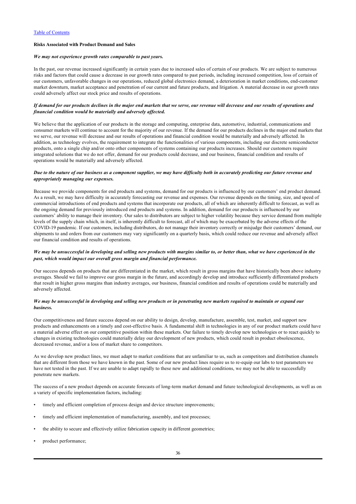# **Risks Associated with Product Demand and Sales**

#### *We may not experience growth rates comparable to past years.*

In the past, our revenue increased significantly in certain years due to increased sales of certain of our products. We are subject to numerous risks and factors that could cause a decrease in our growth rates compared to past periods, including increased competition, loss of certain of our customers, unfavorable changes in our operations, reduced global electronics demand, a deterioration in market conditions, end-customer market downturn, market acceptance and penetration of our current and future products, and litigation. A material decrease in our growth rates could adversely affect our stock price and results of operations.

## *If demand for our products declines in the major end markets that we serve, our revenue will decrease and our results of operations and financial condition would be materially and adversely affected.*

We believe that the application of our products in the storage and computing, enterprise data, automotive, industrial, communications and consumer markets will continue to account for the majority of our revenue. If the demand for our products declines in the major end markets that we serve, our revenue will decrease and our results of operations and financial condition would be materially and adversely affected. In addition, as technology evolves, the requirement to integrate the functionalities of various components, including our discrete semiconductor products, onto a single chip and/or onto other components of systems containing our products increases. Should our customers require integrated solutions that we do not offer, demand for our products could decrease, and our business, financial condition and results of operations would be materially and adversely affected.

## *Due to the nature of our business as a component supplier, we may have difficulty both in accurately predicting our future revenue and appropriately managing our expenses.*

Because we provide components for end products and systems, demand for our products is influenced by our customers' end product demand. As a result, we may have difficulty in accurately forecasting our revenue and expenses. Our revenue depends on the timing, size, and speed of commercial introductions of end products and systems that incorporate our products, all of which are inherently difficult to forecast, as well as the ongoing demand for previously introduced end products and systems. In addition, demand for our products is influenced by our customers' ability to manage their inventory. Our sales to distributors are subject to higher volatility because they service demand from multiple levels of the supply chain which, in itself, is inherently difficult to forecast, all of which may be exacerbated by the adverse effects of the COVID-19 pandemic. If our customers, including distributors, do not manage their inventory correctly or misjudge their customers' demand, our shipments to and orders from our customers may vary significantly on a quarterly basis, which could reduce our revenue and adversely affect our financial condition and results of operations.

## *We may be unsuccessful in developing and selling new products with margins similar to, or better than, what we have experienced in the past, which would impact our overall gross margin and financial performance.*

Our success depends on products that are differentiated in the market, which result in gross margins that have historically been above industry averages. Should we fail to improve our gross margin in the future, and accordingly develop and introduce sufficiently differentiated products that result in higher gross margins than industry averages, our business, financial condition and results of operations could be materially and adversely affected.

### *We may be unsuccessful in developing and selling new products or in penetrating new markets required to maintain or expand our business.*

Our competitiveness and future success depend on our ability to design, develop, manufacture, assemble, test, market, and support new products and enhancements on a timely and cost-effective basis. A fundamental shift in technologies in any of our product markets could have a material adverse effect on our competitive position within these markets. Our failure to timely develop new technologies or to react quickly to changes in existing technologies could materially delay our development of new products, which could result in product obsolescence, decreased revenue, and/or a loss of market share to competitors.

As we develop new product lines, we must adapt to market conditions that are unfamiliar to us, such as competitors and distribution channels that are different from those we have known in the past. Some of our new product lines require us to re-equip our labs to test parameters we have not tested in the past. If we are unable to adapt rapidly to these new and additional conditions, we may not be able to successfully penetrate new markets.

The success of a new product depends on accurate forecasts of long-term market demand and future technological developments, as well as on a variety of specific implementation factors, including:

- timely and efficient completion of process design and device structure improvements;
- timely and efficient implementation of manufacturing, assembly, and test processes;
- the ability to secure and effectively utilize fabrication capacity in different geometries;
- product performance;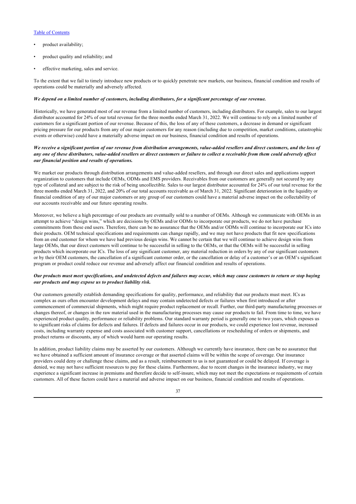- product availability;
- product quality and reliability; and
- effective marketing, sales and service.

To the extent that we fail to timely introduce new products or to quickly penetrate new markets, our business, financial condition and results of operations could be materially and adversely affected.

#### *We depend on a limited number of customers, including distributors, for a significant percentage of our revenue.*

Historically, we have generated most of our revenue from a limited number of customers, including distributors. For example, sales to our largest distributor accounted for 24% of our total revenue for the three months ended March 31, 2022. We will continue to rely on a limited number of customers for a significant portion of our revenue. Because of this, the loss of any of these customers, a decrease in demand or significant pricing pressure for our products from any of our major customers for any reason (including due to competition, market conditions, catastrophic events or otherwise) could have a materially adverse impact on our business, financial condition and results of operations.

## *We receive a significant portion of our revenue from distribution arrangements, value-added resellers and direct customers, and the loss of any one of these distributors, value-added resellers or direct customers or failure to collect a receivable from them could adversely affect our financial position and results of operations.*

We market our products through distribution arrangements and value-added resellers, and through our direct sales and applications support organization to customers that include OEMs, ODMs and EMS providers. Receivables from our customers are generally not secured by any type of collateral and are subject to the risk of being uncollectible. Sales to our largest distributor accounted for 24% of our total revenue for the three months ended March 31, 2022, and 20% of our total accounts receivable as of March 31, 2022. Significant deterioration in the liquidity or financial condition of any of our major customers or any group of our customers could have a material adverse impact on the collectability of our accounts receivable and our future operating results.

Moreover, we believe a high percentage of our products are eventually sold to a number of OEMs. Although we communicate with OEMs in an attempt to achieve "design wins," which are decisions by OEMs and/or ODMs to incorporate our products, we do not have purchase commitments from these end users. Therefore, there can be no assurance that the OEMs and/or ODMs will continue to incorporate our ICs into their products. OEM technical specifications and requirements can change rapidly, and we may not have products that fit new specifications from an end customer for whom we have had previous design wins. We cannot be certain that we will continue to achieve design wins from large OEMs, that our direct customers will continue to be successful in selling to the OEMs, or that the OEMs will be successful in selling products which incorporate our ICs. The loss of any significant customer, any material reduction in orders by any of our significant customers or by their OEM customers, the cancellation of a significant customer order, or the cancellation or delay of a customer's or an OEM's significant program or product could reduce our revenue and adversely affect our financial condition and results of operations.

## *Our products must meet specifications, and undetected defects and failures may occur, which may cause customers to return or stop buying our products and may expose us to product liability risk.*

Our customers generally establish demanding specifications for quality, performance, and reliability that our products must meet. ICs as complex as ours often encounter development delays and may contain undetected defects or failures when first introduced or after commencement of commercial shipments, which might require product replacement or recall. Further, our third-party manufacturing processes or changes thereof, or changes in the raw material used in the manufacturing processes may cause our products to fail. From time to time, we have experienced product quality, performance or reliability problems. Our standard warranty period is generally one to two years, which exposes us to significant risks of claims for defects and failures. If defects and failures occur in our products, we could experience lost revenue, increased costs, including warranty expense and costs associated with customer support, cancellations or rescheduling of orders or shipments, and product returns or discounts, any of which would harm our operating results.

In addition, product liability claims may be asserted by our customers. Although we currently have insurance, there can be no assurance that we have obtained a sufficient amount of insurance coverage or that asserted claims will be within the scope of coverage. Our insurance providers could deny or challenge these claims, and as a result, reimbursement to us is not guaranteed or could be delayed. If coverage is denied, we may not have sufficient resources to pay for these claims. Furthermore, due to recent changes in the insurance industry, we may experience a significant increase in premiums and therefore decide to self-insure, which may not meet the expectations or requirements of certain customers. All of these factors could have a material and adverse impact on our business, financial condition and results of operations.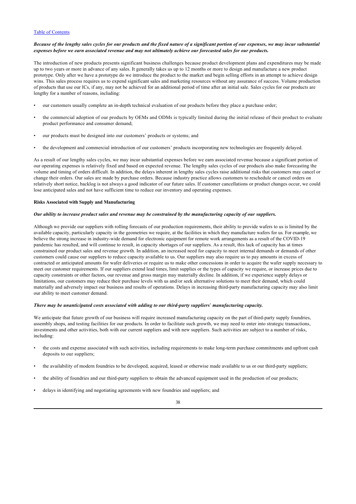## *Because of the lengthy sales cycles for our products and the fixed nature of a significant portion of our expenses, we may incur substantial expenses before we earn associated revenue and may not ultimately achieve our forecasted sales for our products.*

The introduction of new products presents significant business challenges because product development plans and expenditures may be made up to two years or more in advance of any sales. It generally takes us up to 12 months or more to design and manufacture a new product prototype. Only after we have a prototype do we introduce the product to the market and begin selling efforts in an attempt to achieve design wins. This sales process requires us to expend significant sales and marketing resources without any assurance of success. Volume production of products that use our ICs, if any, may not be achieved for an additional period of time after an initial sale. Sales cycles for our products are lengthy for a number of reasons, including:

- our customers usually complete an in-depth technical evaluation of our products before they place a purchase order;
- the commercial adoption of our products by OEMs and ODMs is typically limited during the initial release of their product to evaluate product performance and consumer demand;
- our products must be designed into our customers' products or systems; and
- the development and commercial introduction of our customers' products incorporating new technologies are frequently delayed.

As a result of our lengthy sales cycles, we may incur substantial expenses before we earn associated revenue because a significant portion of our operating expenses is relatively fixed and based on expected revenue. The lengthy sales cycles of our products also make forecasting the volume and timing of orders difficult. In addition, the delays inherent in lengthy sales cycles raise additional risks that customers may cancel or change their orders. Our sales are made by purchase orders. Because industry practice allows customers to reschedule or cancel orders on relatively short notice, backlog is not always a good indicator of our future sales. If customer cancellations or product changes occur, we could lose anticipated sales and not have sufficient time to reduce our inventory and operating expenses.

#### **Risks Associated with Supply and Manufacturing**

### *Our ability to increase product sales and revenue may be constrained by the manufacturing capacity of our suppliers.*

Although we provide our suppliers with rolling forecasts of our production requirements, their ability to provide wafers to us is limited by the available capacity, particularly capacity in the geometries we require, at the facilities in which they manufacture wafers for us*.* For example, we believe the strong increase in industry-wide demand for electronic equipment for remote work arrangements as a result of the COVID-19 pandemic has resulted, and will continue to result, in capacity shortages of our suppliers. As a result, this lack of capacity has at times constrained our product sales and revenue growth. In addition, an increased need for capacity to meet internal demands or demands of other customers could cause our suppliers to reduce capacity available to us. Our suppliers may also require us to pay amounts in excess of contracted or anticipated amounts for wafer deliveries or require us to make other concessions in order to acquire the wafer supply necessary to meet our customer requirements. If our suppliers extend lead times, limit supplies or the types of capacity we require, or increase prices due to capacity constraints or other factors, our revenue and gross margin may materially decline. In addition, if we experience supply delays or limitations, our customers may reduce their purchase levels with us and/or seek alternative solutions to meet their demand, which could materially and adversely impact our business and results of operations. Delays in increasing third-party manufacturing capacity may also limit our ability to meet customer demand.

### *There may be unanticipated costs associated with adding to our third-party suppliers*' *manufacturing capacity.*

We anticipate that future growth of our business will require increased manufacturing capacity on the part of third-party supply foundries, assembly shops, and testing facilities for our products. In order to facilitate such growth, we may need to enter into strategic transactions, investments and other activities, both with our current suppliers and with new suppliers. Such activities are subject to a number of risks, including:

- the costs and expense associated with such activities, including requirements to make long-term purchase commitments and upfront cash deposits to our suppliers;
- the availability of modern foundries to be developed, acquired, leased or otherwise made available to us or our third-party suppliers;
- the ability of foundries and our third-party suppliers to obtain the advanced equipment used in the production of our products;
- delays in identifying and negotiating agreements with new foundries and suppliers; and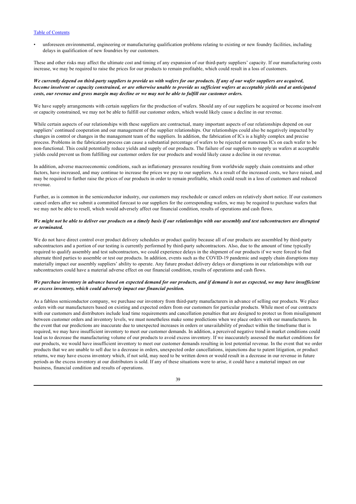• unforeseen environmental, engineering or manufacturing qualification problems relating to existing or new foundry facilities, including delays in qualification of new foundries by our customers.

These and other risks may affect the ultimate cost and timing of any expansion of our third-party suppliers' capacity. If our manufacturing costs increase, we may be required to raise the prices for our products to remain profitable, which could result in a loss of customers.

## *We currently depend on third-party suppliers to provide us with wafers for our products. If any of our wafer suppliers are acquired, become insolvent or capacity constrained, or are otherwise unable to provide us sufficient wafers at acceptable yields and at anticipated costs, our revenue and gross margin may decline or we may not be able to fulfill our customer orders.*

We have supply arrangements with certain suppliers for the production of wafers. Should any of our suppliers be acquired or become insolvent or capacity constrained, we may not be able to fulfill our customer orders, which would likely cause a decline in our revenue.

While certain aspects of our relationships with these suppliers are contractual, many important aspects of our relationships depend on our suppliers' continued cooperation and our management of the supplier relationships. Our relationships could also be negatively impacted by changes in control or changes in the management team of the suppliers. In addition, the fabrication of ICs is a highly complex and precise process. Problems in the fabrication process can cause a substantial percentage of wafers to be rejected or numerous ICs on each wafer to be non-functional. This could potentially reduce yields and supply of our products. The failure of our suppliers to supply us wafers at acceptable yields could prevent us from fulfilling our customer orders for our products and would likely cause a decline in our revenue.

In addition, adverse macroeconomic conditions, such as inflationary pressures resulting from worldwide supply chain constraints and other factors, have increased, and may continue to increase the prices we pay to our suppliers. As a result of the increased costs, we have raised, and may be required to further raise the prices of our products in order to remain profitable, which could result in a loss of customers and reduced revenue.

Further, as is common in the semiconductor industry, our customers may reschedule or cancel orders on relatively short notice. If our customers cancel orders after we submit a committed forecast to our suppliers for the corresponding wafers, we may be required to purchase wafers that we may not be able to resell, which would adversely affect our financial condition, results of operations and cash flows.

## *We might not be able to deliver our products on a timely basis if our relationships with our assembly and test subcontractors are disrupted or terminated.*

We do not have direct control over product delivery schedules or product quality because all of our products are assembled by third-party subcontractors and a portion of our testing is currently performed by third-party subcontractors. Also, due to the amount of time typically required to qualify assembly and test subcontractors, we could experience delays in the shipment of our products if we were forced to find alternate third parties to assemble or test our products. In addition, events such as the COVID-19 pandemic and supply chain disruptions may materially impact our assembly suppliers' ability to operate. Any future product delivery delays or disruptions in our relationships with our subcontractors could have a material adverse effect on our financial condition, results of operations and cash flows.

### *We purchase inventory in advance based on expected demand for our products, and if demand is not as expected, we may have insufficient or excess inventory, which could adversely impact our financial position.*

As a fabless semiconductor company, we purchase our inventory from third-party manufacturers in advance of selling our products. We place orders with our manufacturers based on existing and expected orders from our customers for particular products. While most of our contracts with our customers and distributors include lead time requirements and cancellation penalties that are designed to protect us from misalignment between customer orders and inventory levels, we must nonetheless make some predictions when we place orders with our manufacturers. In the event that our predictions are inaccurate due to unexpected increases in orders or unavailability of product within the timeframe that is required, we may have insufficient inventory to meet our customer demands. In addition, a perceived negative trend in market conditions could lead us to decrease the manufacturing volume of our products to avoid excess inventory. If we inaccurately assessed the market conditions for our products, we would have insufficient inventory to meet our customer demands resulting in lost potential revenue. In the event that we order products that we are unable to sell due to a decrease in orders, unexpected order cancellations, injunctions due to patent litigation, or product returns, we may have excess inventory which, if not sold, may need to be written down or would result in a decrease in our revenue in future periods as the excess inventory at our distributors is sold. If any of these situations were to arise, it could have a material impact on our business, financial condition and results of operations.

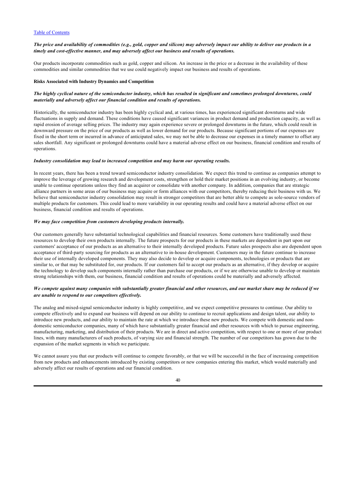### *The price and availability of commodities (e.g., gold, copper and silicon) may adversely impact our ability to deliver our products in a timely and cost-effective manner, and may adversely affect our business and results of operations.*

Our products incorporate commodities such as gold, copper and silicon. An increase in the price or a decrease in the availability of these commodities and similar commodities that we use could negatively impact our business and results of operations.

### **Risks Associated with Industry Dynamics and Competition**

## *The highly cyclical nature of the semiconductor industry, which has resulted in significant and sometimes prolonged downturns, could materially and adversely affect our financial condition and results of operations.*

Historically, the semiconductor industry has been highly cyclical and, at various times, has experienced significant downturns and wide fluctuations in supply and demand. These conditions have caused significant variances in product demand and production capacity, as well as rapid erosion of average selling prices. The industry may again experience severe or prolonged downturns in the future, which could result in downward pressure on the price of our products as well as lower demand for our products. Because significant portions of our expenses are fixed in the short term or incurred in advance of anticipated sales, we may not be able to decrease our expenses in a timely manner to offset any sales shortfall. Any significant or prolonged downturns could have a material adverse effect on our business, financial condition and results of operations.

#### *Industry consolidation may lead to increased competition and may harm our operating results.*

In recent years, there has been a trend toward semiconductor industry consolidation. We expect this trend to continue as companies attempt to improve the leverage of growing research and development costs, strengthen or hold their market positions in an evolving industry, or become unable to continue operations unless they find an acquirer or consolidate with another company. In addition, companies that are strategic alliance partners in some areas of our business may acquire or form alliances with our competitors, thereby reducing their business with us. We believe that semiconductor industry consolidation may result in stronger competitors that are better able to compete as sole-source vendors of multiple products for customers. This could lead to more variability in our operating results and could have a material adverse effect on our business, financial condition and results of operations.

#### *We may face competition from customers developing products internally.*

Our customers generally have substantial technological capabilities and financial resources. Some customers have traditionally used these resources to develop their own products internally. The future prospects for our products in these markets are dependent in part upon our customers' acceptance of our products as an alternative to their internally developed products. Future sales prospects also are dependent upon acceptance of third-party sourcing for products as an alternative to in-house development. Customers may in the future continue to increase their use of internally developed components. They may also decide to develop or acquire components, technologies or products that are similar to, or that may be substituted for, our products. If our customers fail to accept our products as an alternative, if they develop or acquire the technology to develop such components internally rather than purchase our products, or if we are otherwise unable to develop or maintain strong relationships with them, our business, financial condition and results of operations could be materially and adversely affected.

### *We compete against many companies with substantially greater financial and other resources, and our market share may be reduced if we are unable to respond to our competitors effectively.*

The analog and mixed-signal semiconductor industry is highly competitive, and we expect competitive pressures to continue. Our ability to compete effectively and to expand our business will depend on our ability to continue to recruit applications and design talent, our ability to introduce new products, and our ability to maintain the rate at which we introduce these new products. We compete with domestic and nondomestic semiconductor companies, many of which have substantially greater financial and other resources with which to pursue engineering, manufacturing, marketing, and distribution of their products. We are in direct and active competition, with respect to one or more of our product lines, with many manufacturers of such products, of varying size and financial strength. The number of our competitors has grown due to the expansion of the market segments in which we participate.

We cannot assure you that our products will continue to compete favorably, or that we will be successful in the face of increasing competition from new products and enhancements introduced by existing competitors or new companies entering this market, which would materially and adversely affect our results of operations and our financial condition.

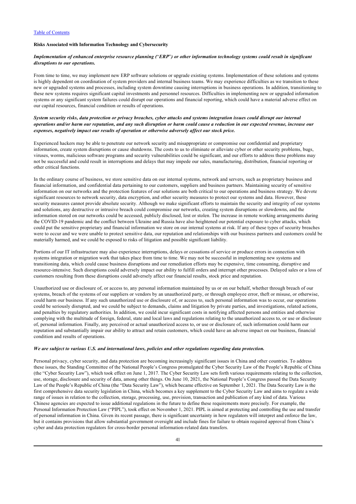## **Risks Associated with Information Technology and Cybersecurity**

### *Implementation of enhanced enterprise resource planning (*"*ERP*"*) or other information technology systems could result in significant disruptions to our operations.*

From time to time, we may implement new ERP software solutions or upgrade existing systems. Implementation of these solutions and systems is highly dependent on coordination of system providers and internal business teams. We may experience difficulties as we transition to these new or upgraded systems and processes, including system downtime causing interruptions in business operations. In addition, transitioning to these new systems requires significant capital investments and personnel resources. Difficulties in implementing new or upgraded information systems or any significant system failures could disrupt our operations and financial reporting, which could have a material adverse effect on our capital resources, financial condition or results of operations.

## *System security risks, data protection or privacy breaches, cyber attacks and systems integration issues could disrupt our internal operations and/or harm our reputation, and any such disruption or harm could cause a reduction in our expected revenue, increase our expenses, negatively impact our results of operation or otherwise adversely affect our stock price.*

Experienced hackers may be able to penetrate our network security and misappropriate or compromise our confidential and proprietary information, create system disruptions or cause shutdowns. The costs to us to eliminate or alleviate cyber or other security problems, bugs, viruses, worms, malicious software programs and security vulnerabilities could be significant, and our efforts to address these problems may not be successful and could result in interruptions and delays that may impede our sales, manufacturing, distribution, financial reporting or other critical functions.

In the ordinary course of business, we store sensitive data on our internal systems, network and servers, such as proprietary business and financial information, and confidential data pertaining to our customers, suppliers and business partners. Maintaining security of sensitive information on our networks and the protection features of our solutions are both critical to our operations and business strategy. We devote significant resources to network security, data encryption, and other security measures to protect our systems and data. However, these security measures cannot provide absolute security. Although we make significant efforts to maintain the security and integrity of our systems and solutions, any destructive or intrusive breach could compromise our networks, creating system disruptions or slowdowns, and the information stored on our networks could be accessed, publicly disclosed, lost or stolen. The increase in remote working arrangements during the COVID-19 pandemic and the conflict between Ukraine and Russia have also heightened our potential exposure to cyber attacks, which could put the sensitive proprietary and financial information we store on our internal systems at risk. If any of these types of security breaches were to occur and we were unable to protect sensitive data, our reputation and relationships with our business partners and customers could be materially harmed, and we could be exposed to risks of litigation and possible significant liability.

Portions of our IT infrastructure may also experience interruptions, delays or cessations of service or produce errors in connection with systems integration or migration work that takes place from time to time. We may not be successful in implementing new systems and transitioning data, which could cause business disruptions and our remediation efforts may be expensive, time consuming, disruptive and resource-intensive. Such disruptions could adversely impact our ability to fulfill orders and interrupt other processes. Delayed sales or a loss of customers resulting from these disruptions could adversely affect our financial results, stock price and reputation.

Unauthorized use or disclosure of, or access to, any personal information maintained by us or on our behalf, whether through breach of our systems, breach of the systems of our suppliers or vendors by an unauthorized party, or through employee error, theft or misuse, or otherwise, could harm our business. If any such unauthorized use or disclosure of, or access to, such personal information was to occur, our operations could be seriously disrupted, and we could be subject to demands, claims and litigation by private parties, and investigations, related actions, and penalties by regulatory authorities. In addition, we could incur significant costs in notifying affected persons and entities and otherwise complying with the multitude of foreign, federal, state and local laws and regulations relating to the unauthorized access to, or use or disclosure of, personal information. Finally, any perceived or actual unauthorized access to, or use or disclosure of, such information could harm our reputation and substantially impair our ability to attract and retain customers, which could have an adverse impact on our business, financial condition and results of operations.

#### *We are subject to various U.S. and international laws, policies and other regulations regarding data protection.*

Personal privacy, cyber security, and data protection are becoming increasingly significant issues in China and other countries. To address these issues, the Standing Committee of the National People's Congress promulgated the Cyber Security Law of the People's Republic of China (the "Cyber Security Law"), which took effect on June 1, 2017. The Cyber Security Law sets forth various requirements relating to the collection, use, storage, disclosure and security of data, among other things. On June 10, 2021, the National People's Congress passed the Data Security Law of the People's Republic of China (the "Data Security Law"), which became effective on September 1, 2021. The Data Security Law is the first comprehensive data security legislation in China, which becomes a key supplement to the Cyber Security Law and aims to regulate a wide range of issues in relation to the collection, storage, processing, use, provision, transaction and publication of any kind of data. Various Chinese agencies are expected to issue additional regulations in the future to define these requirements more precisely. For example, the Personal Information Protection Law ("PIPL"), took effect on November 1, 2021. PIPL is aimed at protecting and controlling the use and transfer of personal information in China. Given its recent passage, there is significant uncertainty in how regulators will interpret and enforce the law, but it contains provisions that allow substantial government oversight and include fines for failure to obtain required approval from China's cyber and data protection regulators for cross-border personal information-related data transfers.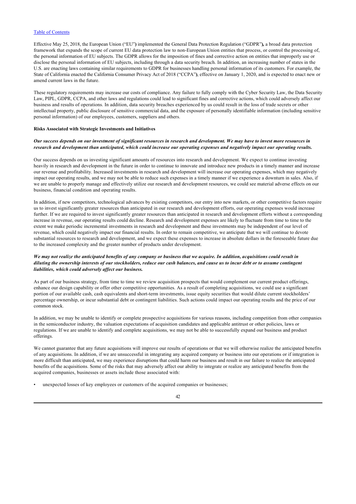Effective May 25, 2018, the European Union ("EU"**)** implemented the General Data Protection Regulation ("GDPR"**),** a broad data protection framework that expands the scope of current EU data protection law to non-European Union entities that process, or control the processing of, the personal information of EU subjects. The GDPR allows for the imposition of fines and corrective action on entities that improperly use or disclose the personal information of EU subjects, including through a data security breach. In addition, an increasing number of states in the U.S. are enacting laws containing similar requirements to GDPR for businesses handling personal information of its customers. For example, the State of California enacted the California Consumer Privacy Act of 2018 ("CCPA"**)**, effective on January 1, 2020, and is expected to enact new or amend current laws in the future.

These regulatory requirements may increase our costs of compliance. Any failure to fully comply with the Cyber Security Law, the Data Security Law, PIPL, GDPR, CCPA, and other laws and regulations could lead to significant fines and corrective actions, which could adversely affect our business and results of operations. In addition, data security breaches experienced by us could result in the loss of trade secrets or other intellectual property, public disclosure of sensitive commercial data, and the exposure of personally identifiable information (including sensitive personal information) of our employees, customers, suppliers and others.

#### **Risks Associated with Strategic Investments and Initiatives**

## *Our success depends on our investment of significant resources in research and development. We may have to invest more resources in research and development than anticipated, which could increase our operating expenses and negatively impact our operating results.*

Our success depends on us investing significant amounts of resources into research and development. We expect to continue investing heavily in research and development in the future in order to continue to innovate and introduce new products in a timely manner and increase our revenue and profitability. Increased investments in research and development will increase our operating expenses, which may negatively impact our operating results, and we may not be able to reduce such expenses in a timely manner if we experience a downturn in sales. Also, if we are unable to properly manage and effectively utilize our research and development resources, we could see material adverse effects on our business, financial condition and operating results.

In addition, if new competitors, technological advances by existing competitors, our entry into new markets, or other competitive factors require us to invest significantly greater resources than anticipated in our research and development efforts, our operating expenses would increase further. If we are required to invest significantly greater resources than anticipated in research and development efforts without a corresponding increase in revenue, our operating results could decline. Research and development expenses are likely to fluctuate from time to time to the extent we make periodic incremental investments in research and development and these investments may be independent of our level of revenue, which could negatively impact our financial results. In order to remain competitive, we anticipate that we will continue to devote substantial resources to research and development, and we expect these expenses to increase in absolute dollars in the foreseeable future due to the increased complexity and the greater number of products under development.

## *We may not realize the anticipated benefits of any company or business that we acquire. In addition, acquisitions could result in diluting the ownership interests of our stockholders, reduce our cash balances, and cause us to incur debt or to assume contingent liabilities, which could adversely affect our business.*

As part of our business strategy, from time to time we review acquisition prospects that would complement our current product offerings, enhance our design capability or offer other competitive opportunities. As a result of completing acquisitions, we could use a significant portion of our available cash, cash equivalents and short-term investments, issue equity securities that would dilute current stockholders' percentage ownership, or incur substantial debt or contingent liabilities. Such actions could impact our operating results and the price of our common stock.

In addition, we may be unable to identify or complete prospective acquisitions for various reasons, including competition from other companies in the semiconductor industry, the valuation expectations of acquisition candidates and applicable antitrust or other policies, laws or regulations. If we are unable to identify and complete acquisitions, we may not be able to successfully expand our business and product offerings.

We cannot guarantee that any future acquisitions will improve our results of operations or that we will otherwise realize the anticipated benefits of any acquisitions. In addition, if we are unsuccessful in integrating any acquired company or business into our operations or if integration is more difficult than anticipated, we may experience disruptions that could harm our business and result in our failure to realize the anticipated benefits of the acquisitions. Some of the risks that may adversely affect our ability to integrate or realize any anticipated benefits from the acquired companies, businesses or assets include those associated with:

• unexpected losses of key employees or customers of the acquired companies or businesses;

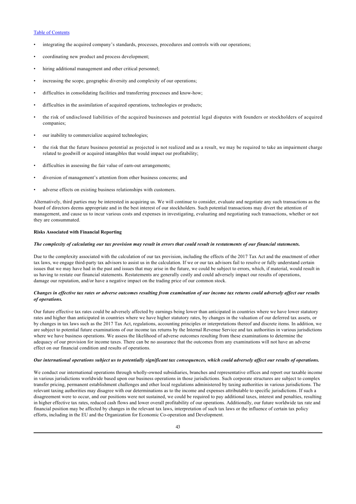- integrating the acquired company's standards, processes, procedures and controls with our operations;
- coordinating new product and process development;
- hiring additional management and other critical personnel;
- increasing the scope, geographic diversity and complexity of our operations;
- difficulties in consolidating facilities and transferring processes and know-how;
- difficulties in the assimilation of acquired operations, technologies or products;
- the risk of undisclosed liabilities of the acquired businesses and potential legal disputes with founders or stockholders of acquired companies;
- our inability to commercialize acquired technologies;
- the risk that the future business potential as projected is not realized and as a result, we may be required to take an impairment charge related to goodwill or acquired intangibles that would impact our profitability;
- difficulties in assessing the fair value of earn-out arrangements;
- diversion of management's attention from other business concerns; and
- adverse effects on existing business relationships with customers.

Alternatively, third parties may be interested in acquiring us. We will continue to consider, evaluate and negotiate any such transactions as the board of directors deems appropriate and in the best interest of our stockholders. Such potential transactions may divert the attention of management, and cause us to incur various costs and expenses in investigating, evaluating and negotiating such transactions, whether or not they are consummated.

## **Risks Associated with Financial Reporting**

#### *The complexity of calculating our tax provision may result in errors that could result in restatements of our financial statements.*

Due to the complexity associated with the calculation of our tax provision, including the effects of the 2017 Tax Act and the enactment of other tax laws, we engage third-party tax advisors to assist us in the calculation. If we or our tax advisors fail to resolve or fully understand certain issues that we may have had in the past and issues that may arise in the future, we could be subject to errors, which, if material, would result in us having to restate our financial statements. Restatements are generally costly and could adversely impact our results of operations, damage our reputation, and/or have a negative impact on the trading price of our common stock.

### *Changes in effective tax rates or adverse outcomes resulting from examination of our income tax returns could adversely affect our results of operations.*

Our future effective tax rates could be adversely affected by earnings being lower than anticipated in countries where we have lower statutory rates and higher than anticipated in countries where we have higher statutory rates, by changes in the valuation of our deferred tax assets, or by changes in tax laws such as the 2017 Tax Act, regulations, accounting principles or interpretations thereof and discrete items. In addition, we are subject to potential future examinations of our income tax returns by the Internal Revenue Service and tax authorities in various jurisdictions where we have business operations. We assess the likelihood of adverse outcomes resulting from these examinations to determine the adequacy of our provision for income taxes. There can be no assurance that the outcomes from any examinations will not have an adverse effect on our financial condition and results of operations.

### *Our international operations subject us to potentially significant tax consequences, which could adversely affect our results of operations.*

We conduct our international operations through wholly-owned subsidiaries, branches and representative offices and report our taxable income in various jurisdictions worldwide based upon our business operations in those jurisdictions. Such corporate structures are subject to complex transfer pricing, permanent establishment challenges and other local regulations administered by taxing authorities in various jurisdictions. The relevant taxing authorities may disagree with our determinations as to the income and expenses attributable to specific jurisdictions. If such a disagreement were to occur, and our positions were not sustained, we could be required to pay additional taxes, interest and penalties, resulting in higher effective tax rates, reduced cash flows and lower overall profitability of our operations. Additionally, our future worldwide tax rate and financial position may be affected by changes in the relevant tax laws, interpretation of such tax laws or the influence of certain tax policy efforts, including in the EU and the Organization for Economic Co-operation and Development.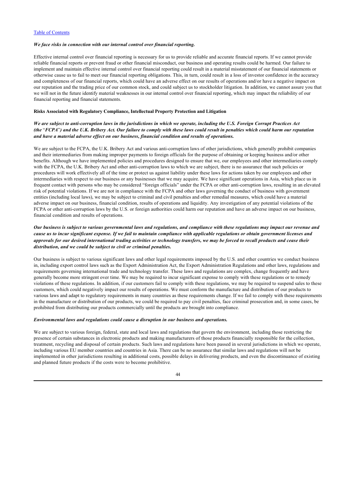#### *We face risks in connection with our internal control over financial reporting.*

Effective internal control over financial reporting is necessary for us to provide reliable and accurate financial reports. If we cannot provide reliable financial reports or prevent fraud or other financial misconduct, our business and operating results could be harmed. Our failure to implement and maintain effective internal control over financial reporting could result in a material misstatement of our financial statements or otherwise cause us to fail to meet our financial reporting obligations. This, in turn, could result in a loss of investor confidence in the accuracy and completeness of our financial reports, which could have an adverse effect on our results of operations and/or have a negative impact on our reputation and the trading price of our common stock, and could subject us to stockholder litigation. In addition, we cannot assure you that we will not in the future identify material weaknesses in our internal control over financial reporting, which may impact the reliability of our financial reporting and financial statements.

# **Risks Associated with Regulatory Compliance, Intellectual Property Protection and Litigation**

## *We are subject to anti-corruption laws in the jurisdictions in which we operate, including the U.S. Foreign Corrupt Practices Act (the* "*FCPA*"*) and the U.K. Bribery Act. Our failure to comply with these laws could result in penalties which could harm our reputation and have a material adverse effect on our business, financial condition and results of operations.*

We are subject to the FCPA, the U.K. Bribery Act and various anti-corruption laws of other jurisdictions, which generally prohibit companies and their intermediaries from making improper payments to foreign officials for the purpose of obtaining or keeping business and/or other benefits. Although we have implemented policies and procedures designed to ensure that we, our employees and other intermediaries comply with the FCPA, the U.K. Bribery Act and other anti-corruption laws to which we are subject, there is no assurance that such policies or procedures will work effectively all of the time or protect us against liability under these laws for actions taken by our employees and other intermediaries with respect to our business or any businesses that we may acquire. We have significant operations in Asia, which place us in frequent contact with persons who may be considered "foreign officials" under the FCPA or other anti-corruption laws, resulting in an elevated risk of potential violations. If we are not in compliance with the FCPA and other laws governing the conduct of business with government entities (including local laws), we may be subject to criminal and civil penalties and other remedial measures, which could have a material adverse impact on our business, financial condition, results of operations and liquidity. Any investigation of any potential violations of the FCPA or other anti-corruption laws by the U.S. or foreign authorities could harm our reputation and have an adverse impact on our business, financial condition and results of operations.

## *Our business is subject to various governmental laws and regulations, and compliance with these regulations may impact our revenue and cause us to incur significant expense. If we fail to maintain compliance with applicable regulations or obtain government licenses and approvals for our desired international trading activities or technology transfers, we may be forced to recall products and cease their distribution, and we could be subject to civil or criminal penalties.*

Our business is subject to various significant laws and other legal requirements imposed by the U.S. and other countries we conduct business in, including export control laws such as the Export Administration Act, the Export Administration Regulations and other laws, regulations and requirements governing international trade and technology transfer. These laws and regulations are complex, change frequently and have generally become more stringent over time. We may be required to incur significant expense to comply with these regulations or to remedy violations of these regulations. In addition, if our customers fail to comply with these regulations, we may be required to suspend sales to these customers, which could negatively impact our results of operations. We must conform the manufacture and distribution of our products to various laws and adapt to regulatory requirements in many countries as these requirements change. If we fail to comply with these requirements in the manufacture or distribution of our products, we could be required to pay civil penalties, face criminal prosecution and, in some cases, be prohibited from distributing our products commercially until the products are brought into compliance.

### *Environmental laws and regulations could cause a disruption in our business and operations.*

We are subject to various foreign, federal, state and local laws and regulations that govern the environment, including those restricting the presence of certain substances in electronic products and making manufacturers of those products financially responsible for the collection, treatment, recycling and disposal of certain products. Such laws and regulations have been passed in several jurisdictions in which we operate, including various EU member countries and countries in Asia. There can be no assurance that similar laws and regulations will not be implemented in other jurisdictions resulting in additional costs, possible delays in delivering products, and even the discontinuance of existing and planned future products if the costs were to become prohibitive.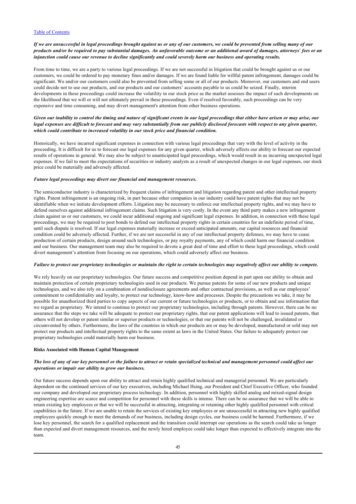## *If we are unsuccessful in legal proceedings brought against us or any of our customers, we could be prevented from selling many of our products and/or be required to pay substantial damages. An unfavorable outcome or an additional award of damages, attorneys*' *fees or an injunction could cause our revenue to decline significantly and could severely harm our business and operating results.*

From time to time, we are a party to various legal proceedings. If we are not successful in litigation that could be brought against us or our customers, we could be ordered to pay monetary fines and/or damages. If we are found liable for willful patent infringement, damages could be significant. We and/or our customers could also be prevented from selling some or all of our products. Moreover, our customers and end users could decide not to use our products, and our products and our customers' accounts payable to us could be seized. Finally, interim developments in these proceedings could increase the volatility in our stock price as the market assesses the impact of such developments on the likelihood that we will or will not ultimately prevail in these proceedings. Even if resolved favorably, such proceedings can be very expensive and time consuming, and may divert management's attention from other business operations.

## *Given our inability to control the timing and nature of significant events in our legal proceedings that either have arisen or may arise, our legal expenses are difficult to forecast and may vary substantially from our publicly disclosed forecasts with respect to any given quarter, which could contribute to increased volatility in our stock price and financial condition.*

Historically, we have incurred significant expenses in connection with various legal proceedings that vary with the level of activity in the proceeding. It is difficult for us to forecast our legal expenses for any given quarter, which adversely affects our ability to forecast our expected results of operations in general. We may also be subject to unanticipated legal proceedings, which would result in us incurring unexpected legal expenses. If we fail to meet the expectations of securities or industry analysts as a result of unexpected changes in our legal expenses, our stock price could be materially and adversely affected.

### *Future legal proceedings may divert our financial and management resources.*

The semiconductor industry is characterized by frequent claims of infringement and litigation regarding patent and other intellectual property rights. Patent infringement is an ongoing risk, in part because other companies in our industry could have patent rights that may not be identifiable when we initiate development efforts. Litigation may be necessary to enforce our intellectual property rights, and we may have to defend ourselves against additional infringement claims. Such litigation is very costly. In the event any third party makes a new infringement claim against us or our customers, we could incur additional ongoing and significant legal expenses. In addition, in connection with these legal proceedings, we may be required to post bonds to defend our intellectual property rights in certain countries for an indefinite period of time, until such dispute is resolved. If our legal expenses materially increase or exceed anticipated amounts, our capital resources and financial condition could be adversely affected. Further, if we are not successful in any of our intellectual property defenses, we may have to cease production of certain products, design around such technologies, or pay royalty payments, any of which could harm our financial condition and our business. Our management team may also be required to devote a great deal of time and effort to these legal proceedings, which could divert management's attention from focusing on our operations, which could adversely affect our business.

## *Failure to protect our proprietary technologies or maintain the right to certain technologies may negatively affect our ability to compete.*

We rely heavily on our proprietary technologies. Our future success and competitive position depend in part upon our ability to obtain and maintain protection of certain proprietary technologies used in our products. We pursue patents for some of our new products and unique technologies, and we also rely on a combination of nondisclosure agreements and other contractual provisions, as well as our employees' commitment to confidentiality and loyalty, to protect our technology, know-how and processes. Despite the precautions we take, it may be possible for unauthorized third parties to copy aspects of our current or future technologies or products, or to obtain and use information that we regard as proprietary. We intend to continue to protect our proprietary technologies, including through patents. However, there can be no assurance that the steps we take will be adequate to protect our proprietary rights, that our patent applications will lead to issued patents, that others will not develop or patent similar or superior products or technologies, or that our patents will not be challenged, invalidated or circumvented by others. Furthermore, the laws of the countries in which our products are or may be developed, manufactured or sold may not protect our products and intellectual property rights to the same extent as laws in the United States. Our failure to adequately protect our proprietary technologies could materially harm our business.

## **Risks Associated with Human Capital Management**

## *The loss of any of our key personnel or the failure to attract or retain specialized technical and management personnel could affect our operations or impair our ability to grow our business.*

Our future success depends upon our ability to attract and retain highly qualified technical and managerial personnel. We are particularly dependent on the continued services of our key executives, including Michael Hsing, our President and Chief Executive Officer, who founded our company and developed our proprietary process technology. In addition, personnel with highly skilled analog and mixed-signal design engineering expertise are scarce and competition for personnel with these skills is intense. There can be no assurance that we will be able to retain existing key employees or that we will be successful in attracting, integrating or retaining other highly qualified personnel with critical capabilities in the future. If we are unable to retain the services of existing key employees or are unsuccessful in attracting new highly qualified employees quickly enough to meet the demands of our business, including design cycles, our business could be harmed. Furthermore, if we lose key personnel, the search for a qualified replacement and the transition could interrupt our operations as the search could take us longer than expected and divert management resources, and the newly hired employee could take longer than expected to effectively integrate into the team.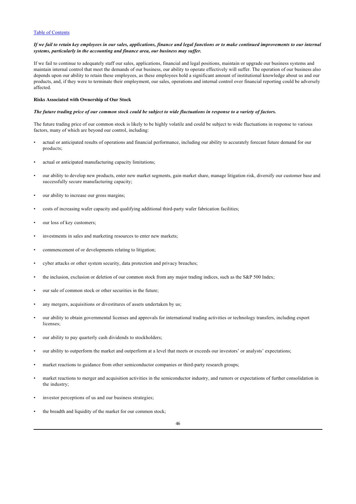### *If we fail to retain key employees in our sales, applications, finance and legal functions or to make continued improvements to our internal systems, particularly in the accounting and finance area, our business may suffer.*

If we fail to continue to adequately staff our sales, applications, financial and legal positions, maintain or upgrade our business systems and maintain internal control that meet the demands of our business, our ability to operate effectively will suffer. The operation of our business also depends upon our ability to retain these employees, as these employees hold a significant amount of institutional knowledge about us and our products, and, if they were to terminate their employment, our sales, operations and internal control over financial reporting could be adversely affected.

#### **Risks Associated with Ownership of Our Stock**

#### *The future trading price of our common stock could be subject to wide fluctuations in response to a variety of factors.*

The future trading price of our common stock is likely to be highly volatile and could be subject to wide fluctuations in response to various factors, many of which are beyond our control, including:

- actual or anticipated results of operations and financial performance, including our ability to accurately forecast future demand for our products;
- actual or anticipated manufacturing capacity limitations;
- our ability to develop new products, enter new market segments, gain market share, manage litigation risk, diversify our customer base and successfully secure manufacturing capacity;
- our ability to increase our gross margins;
- costs of increasing wafer capacity and qualifying additional third-party wafer fabrication facilities;
- our loss of key customers:
- investments in sales and marketing resources to enter new markets;
- commencement of or developments relating to litigation;
- cyber attacks or other system security, data protection and privacy breaches;
- the inclusion, exclusion or deletion of our common stock from any major trading indices, such as the S&P 500 Index;
- our sale of common stock or other securities in the future;
- any mergers, acquisitions or divestitures of assets undertaken by us;
- our ability to obtain governmental licenses and approvals for international trading activities or technology transfers, including export licenses;
- our ability to pay quarterly cash dividends to stockholders;
- our ability to outperform the market and outperform at a level that meets or exceeds our investors' or analysts' expectations;
- market reactions to guidance from other semiconductor companies or third-party research groups;
- market reactions to merger and acquisition activities in the semiconductor industry, and rumors or expectations of further consolidation in the industry;
- investor perceptions of us and our business strategies;
- the breadth and liquidity of the market for our common stock;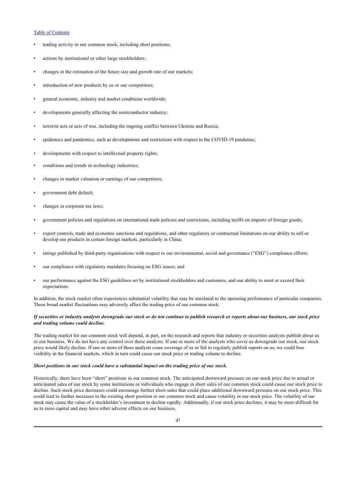- trading activity in our common stock, including short positions;
- actions by institutional or other large stockholders;
- changes in the estimation of the future size and growth rate of our markets;
- introduction of new products by us or our competitors;
- general economic, industry and market conditions worldwide;
- developments generally affecting the semiconductor industry;
- terrorist acts or acts of war, including the ongoing conflict between Ukraine and Russia;
- epidemics and pandemics, such as developments and restrictions with respect to the COVID-19 pandemic;
- developments with respect to intellectual property rights;
- conditions and trends in technology industries;
- changes in market valuation or earnings of our competitors;
- government debt default;
- changes in corporate tax laws;
- government policies and regulations on international trade policies and restrictions, including tariffs on imports of foreign goods;
- export controls, trade and economic sanctions and regulations, and other regulatory or contractual limitations on our ability to sell or develop our products in certain foreign markets, particularly in China;
- ratings published by third-party organizations with respect to our environmental, social and governance ("ESG") compliance efforts;
- our compliance with regulatory mandates focusing on ESG issues; and
- our performance against the ESG guidelines set by institutional stockholders and customers, and our ability to meet or exceed their expectations.

In addition, the stock market often experiences substantial volatility that may be unrelated to the operating performance of particular companies. These broad market fluctuations may adversely affect the trading price of our common stock.

## *If securities or industry analysts downgrade our stock or do not continue to publish research or reports about our business, our stock price and trading volume could decline.*

The trading market for our common stock will depend, in part, on the research and reports that industry or securities analysts publish about us or our business. We do not have any control over these analysts. If one or more of the analysts who cover us downgrade our stock, our stock price would likely decline. If one or more of these analysts cease coverage of us or fail to regularly publish reports on us, we could lose visibility in the financial markets, which in turn could cause our stock price or trading volume to decline.

#### *Short positions in our stock could have a substantial impact on the trading price of our stock.*

Historically, there have been "short" positions in our common stock. The anticipated downward pressure on our stock price due to actual or anticipated sales of our stock by some institutions or individuals who engage in short sales of our common stock could cause our stock price to decline. Such stock price decreases could encourage further short-sales that could place additional downward pressure on our stock price. This could lead to further increases in the existing short position in our common stock and cause volatility in our stock price. The volatility of our stock may cause the value of a stockholder's investment to decline rapidly. Additionally, if our stock price declines, it may be more difficult for us to raise capital and may have other adverse effects on our business.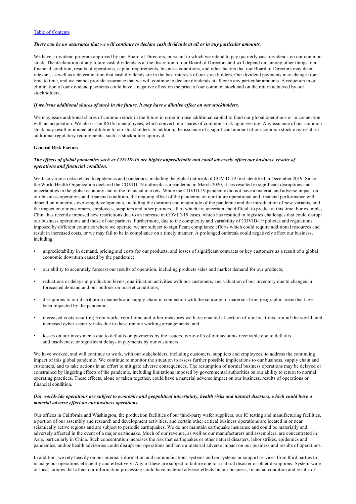## *There can be no assurance that we will continue to declare cash dividends at all or in any particular amounts.*

We have a dividend program approved by our Board of Directors, pursuant to which we intend to pay quarterly cash dividends on our common stock. The declaration of any future cash dividends is at the discretion of our Board of Directors and will depend on, among other things, our financial condition, results of operations, capital requirements, business conditions, and other factors that our Board of Directors may deem relevant, as well as a determination that cash dividends are in the best interests of our stockholders. Our dividend payments may change from time to time, and we cannot provide assurance that we will continue to declare dividends at all or in any particular amounts. A reduction in or elimination of our dividend payments could have a negative effect on the price of our common stock and on the return achieved by our stockholders.

#### *If we issue additional shares of stock in the future, it may have a dilutive effect on our stockholders.*

We may issue additional shares of common stock in the future in order to raise additional capital to fund our global operations or in connection with an acquisition. We also issue RSUs to employees, which convert into shares of common stock upon vesting. Any issuance of our common stock may result in immediate dilution to our stockholders. In addition, the issuance of a significant amount of our common stock may result in additional regulatory requirements, such as stockholder approval.

## **General Risk Factors**

## *The effects of global pandemics such as COVID-19 are highly unpredictable and could adversely affect our business, results of operations and financial condition.*

We face various risks related to epidemics and pandemics, including the global outbreak of COVID-19 first identified in December 2019. Since the World Health Organization declared the COVID-19 outbreak as a pandemic in March 2020, it has resulted in significant disruptions and uncertainties in the global economy and in the financial markets. While the COVID-19 pandemic did not have a material and adverse impact on our business operations and financial condition, the ongoing effect of the pandemic on our future operational and financial performance will depend on numerous evolving developments, including the duration and magnitude of the pandemic and the introduction of new variants, and the impact on our customers, employees, suppliers and other partners, all of which are uncertain and difficult to predict at this time. For example, China has recently imposed new restrictions due to an increase in COVID-19 cases, which has resulted in logistics challenges that could disrupt our business operations and those of our partners. Furthermore, due to the complexity and variability of COVID-19 policies and regulations imposed by different countries where we operate, we are subject to significant compliance efforts which could require additional resources and result in increased costs, or we may fail to be in compliance on a timely manner. A prolonged outbreak could negatively affect our business, including:

- unpredictability in demand, pricing and costs for our products, and losses of significant contracts or key customers as a result of a global economic downturn caused by the pandemic;
- our ability to accurately forecast our results of operation, including products sales and market demand for our products;
- reductions or delays in production levels, qualification activities with our customers, and valuation of our inventory due to changes in forecasted demand and our outlook on market conditions;
- disruptions to our distribution channels and supply chain in connection with the sourcing of materials from geographic areas that have been impacted by the pandemic;
- increased costs resulting from work-from-home and other measures we have enacted at certain of our locations around the world, and increased cyber security risks due to these remote working arrangements; and
- losses on our investments due to defaults on payments by the issuers, write-offs of our accounts receivable due to defaults and insolvency, or significant delays in payments by our customers.

We have worked, and will continue to work, with our stakeholders, including customers, suppliers and employees, to address the continuing impact of this global pandemic. We continue to monitor the situation to assess further possible implications to our business, supply chain and customers, and to take actions in an effort to mitigate adverse consequences. The resumption of normal business operations may be delayed or constrained by lingering effects of the pandemic, including limitations imposed by governmental authorities on our ability to return to normal operating practices. These effects, alone or taken together, could have a material adverse impact on our business, results of operations or financial condition.

## *Our worldwide operations are subject to economic and geopolitical uncertainty, health risks and natural disasters, which could have a material adverse effect on our business operations.*

Our offices in California and Washington, the production facilities of our third-party wafer suppliers, our IC testing and manufacturing facilities, a portion of our assembly and research and development activities, and certain other critical business operations are located in or near seismically active regions and are subject to periodic earthquakes. We do not maintain earthquake insurance and could be materially and adversely affected in the event of a major earthquake. Much of our revenue, as well as our manufacturers and assemblers, are concentrated in Asia, particularly in China. Such concentration increases the risk that earthquakes or other natural disasters, labor strikes, epidemics and pandemics, and/or health advisories could disrupt our operations and have a material adverse impact on our business and results of operations.

In addition, we rely heavily on our internal information and communications systems and on systems or support services from third parties to manage our operations efficiently and effectively. Any of these are subject to failure due to a natural disaster or other disruptions. System-wide or local failures that affect our information processing could have material adverse effects on our business, financial condition and results of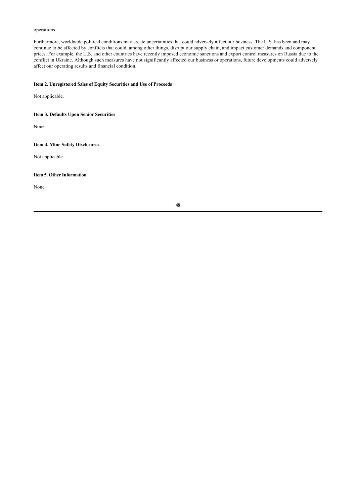operations.

Furthermore, worldwide political conditions may create uncertainties that could adversely affect our business. The U.S. has been and may continue to be affected by conflicts that could, among other things, disrupt our supply chain, and impact customer demands and component prices. For example, the U.S. and other countries have recently imposed economic sanctions and export control measures on Russia due to the conflict in Ukraine. Although such measures have not significantly affected our business or operations, future developments could adversely affect our operating results and financial condition.

## <span id="page-51-0"></span>**Item 2. Unregistered Sales of Equity Securities and Use of Proceeds**

Not applicable.

<span id="page-51-1"></span>**Item 3. Defaults Upon Senior Securities**

None.

## <span id="page-51-2"></span>**Item 4. Mine Safety Disclosures**

Not applicable.

## <span id="page-51-3"></span>**Item 5. Other Information**

None.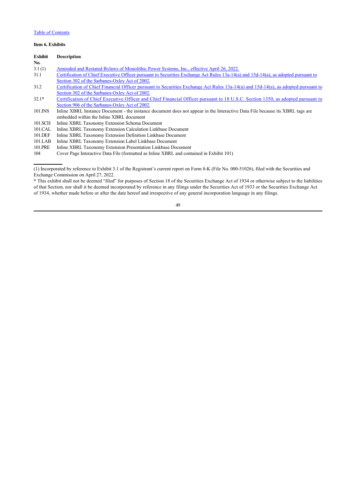## <span id="page-52-0"></span>**Item 6. Exhibits**

| Exhibit | <b>Description</b>                                                                                                                 |
|---------|------------------------------------------------------------------------------------------------------------------------------------|
| No.     |                                                                                                                                    |
| 3.1(1)  | Amended and Restated Bylaws of Monolithic Power Systems, Inc., effective April 26, 2022.                                           |
| 31.1    | Certification of Chief Executive Officer pursuant to Securities Exchange Act Rules 13a-14(a) and 15d-14(a), as adopted pursuant to |
|         | Section 302 of the Sarbanes-Oxley Act of 2002.                                                                                     |
| 31.2    | Certification of Chief Financial Officer pursuant to Securities Exchange Act Rules 13a-14(a) and 15d-14(a), as adopted pursuant to |
|         | Section 302 of the Sarbanes-Oxley Act of 2002.                                                                                     |
| $32.1*$ | Certification of Chief Executive Officer and Chief Financial Officer pursuant to 18 U.S.C. Section 1350, as adopted pursuant to    |
|         | Section 906 of the Sarbanes-Oxley Act of 2002.                                                                                     |
| 101.INS | Inline XBRL Instance Document - the instance document does not appear in the Interactive Data File because its XBRL tags are       |
|         | embedded within the Inline XBRL document                                                                                           |
| 101.SCH | Inline XBRL Taxonomy Extension Schema Document                                                                                     |
| 101.CAL | Inline XBRL Taxonomy Extension Calculation Linkbase Document                                                                       |
| 101.DEF | Inline XBRL Taxonomy Extension Definition Linkbase Document                                                                        |
| 101.LAB | Inline XBRL Taxonomy Extension Label Linkbase Document                                                                             |
| 101.PRE | Inline XBRL Taxonomy Extension Presentation Linkbase Document                                                                      |
| 104     | Cover Page Interactive Data File (formatted as Inline XBRL and contained in Exhibit 101)                                           |

<sup>(1)</sup> Incorporated by reference to Exhibit 3.1 of the Registrant's current report on Form 8-K (File No. 000-51026), filed with the Securities and Exchange Commission on April 27, 2022.

\* This exhibit shall not be deemed "filed" for purposes of Section 18 of the Securities Exchange Act of 1934 or otherwise subject to the liabilities of that Section, nor shall it be deemed incorporated by reference in any filings under the Securities Act of 1933 or the Securities Exchange Act of 1934, whether made before or after the date hereof and irrespective of any general incorporation language in any filings.